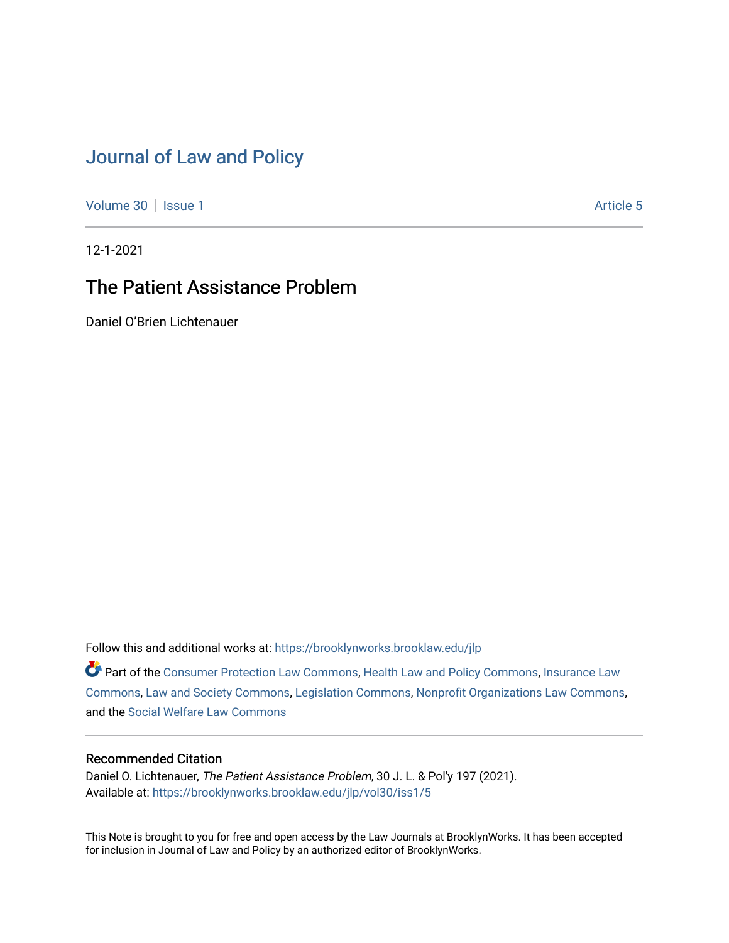# [Journal of Law and Policy](https://brooklynworks.brooklaw.edu/jlp)

[Volume 30](https://brooklynworks.brooklaw.edu/jlp/vol30) | [Issue 1](https://brooklynworks.brooklaw.edu/jlp/vol30/iss1) Article 5

12-1-2021

## The Patient Assistance Problem

Daniel O'Brien Lichtenauer

Follow this and additional works at: [https://brooklynworks.brooklaw.edu/jlp](https://brooklynworks.brooklaw.edu/jlp?utm_source=brooklynworks.brooklaw.edu%2Fjlp%2Fvol30%2Fiss1%2F5&utm_medium=PDF&utm_campaign=PDFCoverPages) 

Part of the [Consumer Protection Law Commons,](http://network.bepress.com/hgg/discipline/838?utm_source=brooklynworks.brooklaw.edu%2Fjlp%2Fvol30%2Fiss1%2F5&utm_medium=PDF&utm_campaign=PDFCoverPages) [Health Law and Policy Commons](http://network.bepress.com/hgg/discipline/901?utm_source=brooklynworks.brooklaw.edu%2Fjlp%2Fvol30%2Fiss1%2F5&utm_medium=PDF&utm_campaign=PDFCoverPages), [Insurance Law](http://network.bepress.com/hgg/discipline/607?utm_source=brooklynworks.brooklaw.edu%2Fjlp%2Fvol30%2Fiss1%2F5&utm_medium=PDF&utm_campaign=PDFCoverPages)  [Commons](http://network.bepress.com/hgg/discipline/607?utm_source=brooklynworks.brooklaw.edu%2Fjlp%2Fvol30%2Fiss1%2F5&utm_medium=PDF&utm_campaign=PDFCoverPages), [Law and Society Commons,](http://network.bepress.com/hgg/discipline/853?utm_source=brooklynworks.brooklaw.edu%2Fjlp%2Fvol30%2Fiss1%2F5&utm_medium=PDF&utm_campaign=PDFCoverPages) [Legislation Commons](http://network.bepress.com/hgg/discipline/859?utm_source=brooklynworks.brooklaw.edu%2Fjlp%2Fvol30%2Fiss1%2F5&utm_medium=PDF&utm_campaign=PDFCoverPages), [Nonprofit Organizations Law Commons](http://network.bepress.com/hgg/discipline/1349?utm_source=brooklynworks.brooklaw.edu%2Fjlp%2Fvol30%2Fiss1%2F5&utm_medium=PDF&utm_campaign=PDFCoverPages), and the [Social Welfare Law Commons](http://network.bepress.com/hgg/discipline/878?utm_source=brooklynworks.brooklaw.edu%2Fjlp%2Fvol30%2Fiss1%2F5&utm_medium=PDF&utm_campaign=PDFCoverPages) 

## Recommended Citation

Daniel O. Lichtenauer, The Patient Assistance Problem, 30 J. L. & Pol'y 197 (2021). Available at: [https://brooklynworks.brooklaw.edu/jlp/vol30/iss1/5](https://brooklynworks.brooklaw.edu/jlp/vol30/iss1/5?utm_source=brooklynworks.brooklaw.edu%2Fjlp%2Fvol30%2Fiss1%2F5&utm_medium=PDF&utm_campaign=PDFCoverPages)

This Note is brought to you for free and open access by the Law Journals at BrooklynWorks. It has been accepted for inclusion in Journal of Law and Policy by an authorized editor of BrooklynWorks.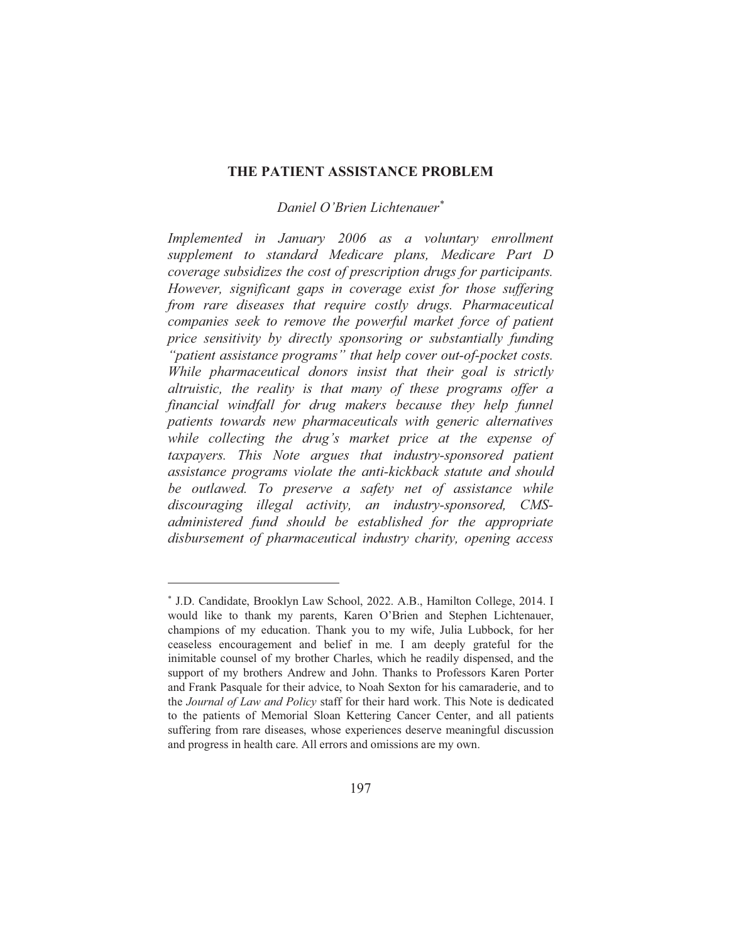#### THE PATIENT ASSISTANCE PROBLEM

## Daniel O'Brien Lichtenauer\*

Implemented in January 2006 as a voluntary enrollment supplement to standard Medicare plans, Medicare Part D coverage subsidizes the cost of prescription drugs for participants. However, significant gaps in coverage exist for those suffering from rare diseases that require costly drugs. Pharmaceutical companies seek to remove the powerful market force of patient price sensitivity by directly sponsoring or substantially funding "patient assistance programs" that help cover out-of-pocket costs. While pharmaceutical donors insist that their goal is strictly altruistic, the reality is that many of these programs offer a financial windfall for drug makers because they help funnel patients towards new pharmaceuticals with generic alternatives while collecting the drug's market price at the expense of taxpayers. This Note argues that industry-sponsored patient assistance programs violate the anti-kickback statute and should be outlawed. To preserve a safety net of assistance while discouraging illegal activity, an industry-sponsored, CMSadministered fund should be established for the appropriate disbursement of pharmaceutical industry charity, opening access

<sup>\*</sup> J.D. Candidate, Brooklyn Law School, 2022. A.B., Hamilton College, 2014. I would like to thank my parents, Karen O'Brien and Stephen Lichtenauer, champions of my education. Thank you to my wife, Julia Lubbock, for her ceaseless encouragement and belief in me. I am deeply grateful for the inimitable counsel of my brother Charles, which he readily dispensed, and the support of my brothers Andrew and John. Thanks to Professors Karen Porter and Frank Pasquale for their advice, to Noah Sexton for his camaraderie, and to the Journal of Law and Policy staff for their hard work. This Note is dedicated to the patients of Memorial Sloan Kettering Cancer Center, and all patients suffering from rare diseases, whose experiences deserve meaningful discussion and progress in health care. All errors and omissions are my own.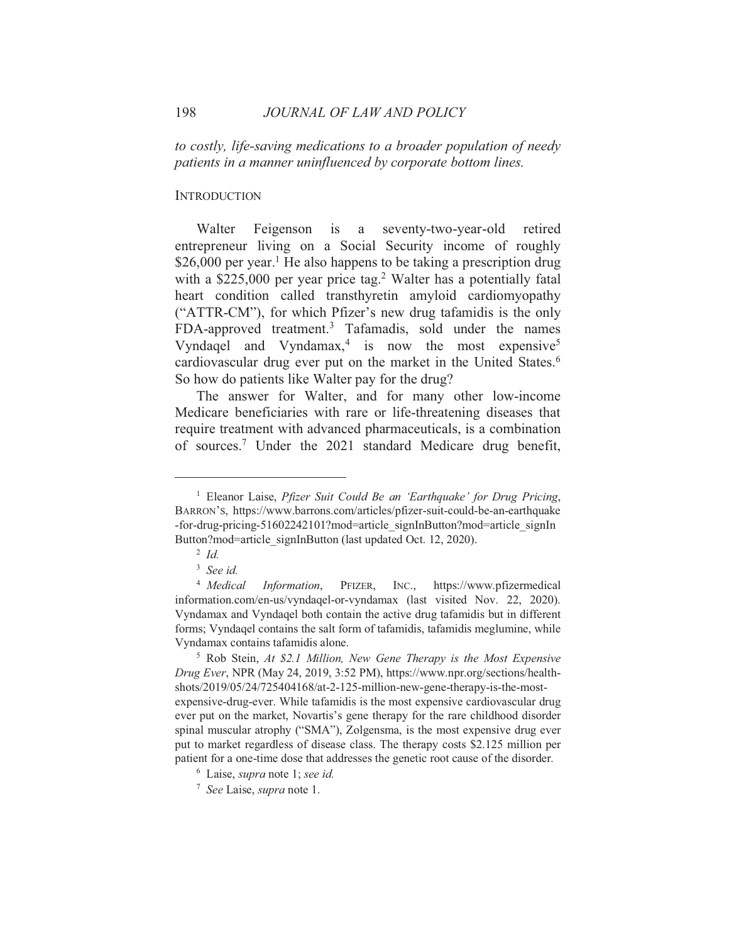to costly, life-saving medications to a broader population of needy patients in a manner uninfluenced by corporate bottom lines.

### **INTRODUCTION**

seventy-two-year-old Walter Feigenson is  $\rm{a}$ retired entrepreneur living on a Social Security income of roughly \$26,000 per year.<sup>1</sup> He also happens to be taking a prescription drug with a  $$225,000$  per year price tag.<sup>2</sup> Walter has a potentially fatal heart condition called transthyretin amyloid cardiomyopathy ("ATTR-CM"), for which Pfizer's new drug tafamidis is the only FDA-approved treatment.<sup>3</sup> Tafamadis, sold under the names Vyndagel and Vyndamax,<sup>4</sup> is now the most expensive<sup>5</sup> cardiovascular drug ever put on the market in the United States.<sup>6</sup> So how do patients like Walter pay for the drug?

The answer for Walter, and for many other low-income Medicare beneficiaries with rare or life-threatening diseases that require treatment with advanced pharmaceuticals, is a combination of sources.<sup>7</sup> Under the 2021 standard Medicare drug benefit,

<sup>&</sup>lt;sup>1</sup> Eleanor Laise, *Pfizer Suit Could Be an 'Earthquake' for Drug Pricing*, BARRON'S, https://www.barrons.com/articles/pfizer-suit-could-be-an-earthquake -for-drug-pricing-51602242101?mod=article signInButton?mod=article signIn Button?mod=article signInButton (last updated Oct. 12, 2020).

 $2 \dot{1}$ 

 $3$  See id.

<sup>&</sup>lt;sup>4</sup> Medical Information, PFIZER. INC., https://www.pfizermedical information.com/en-us/vyndagel-or-vyndamax (last visited Nov. 22, 2020). Vyndamax and Vyndagel both contain the active drug tafamidis but in different forms; Vyndagel contains the salt form of tafamidis, tafamidis meglumine, while Vyndamax contains tafamidis alone.

<sup>&</sup>lt;sup>5</sup> Rob Stein, At \$2.1 Million, New Gene Therapy is the Most Expensive Drug Ever, NPR (May 24, 2019, 3:52 PM), https://www.npr.org/sections/healthshots/2019/05/24/725404168/at-2-125-million-new-gene-therapy-is-the-mostexpensive-drug-ever. While tafamidis is the most expensive cardiovascular drug ever put on the market, Novartis's gene therapy for the rare childhood disorder spinal muscular atrophy ("SMA"), Zolgensma, is the most expensive drug ever put to market regardless of disease class. The therapy costs \$2.125 million per patient for a one-time dose that addresses the genetic root cause of the disorder.

<sup>&</sup>lt;sup>6</sup> Laise, *supra* note 1; see id.

<sup>&</sup>lt;sup>7</sup> See Laise, *supra* note 1.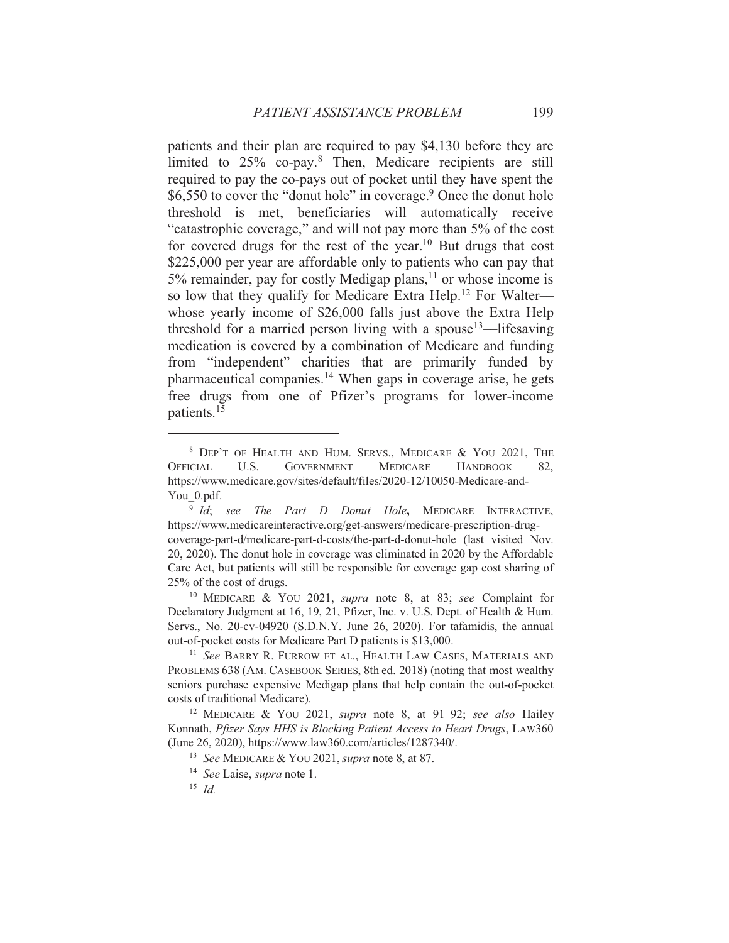patients and their plan are required to pay \$4,130 before they are limited to 25% co-pay.<sup>8</sup> Then, Medicare recipients are still required to pay the co-pays out of pocket until they have spent the \$6,550 to cover the "donut hole" in coverage.<sup>9</sup> Once the donut hole threshold is met, beneficiaries will automatically receive "catastrophic coverage," and will not pay more than 5% of the cost for covered drugs for the rest of the year.<sup>10</sup> But drugs that cost \$225,000 per year are affordable only to patients who can pay that 5% remainder, pay for costly Medigap plans,<sup>11</sup> or whose income is so low that they qualify for Medicare Extra Help.<sup>12</sup> For Walterwhose yearly income of \$26,000 falls just above the Extra Help threshold for a married person living with a spouse  $\frac{13}{11}$  = lifesaving medication is covered by a combination of Medicare and funding from "independent" charities that are primarily funded by pharmaceutical companies.<sup>14</sup> When gaps in coverage arise, he gets free drugs from one of Pfizer's programs for lower-income patients.<sup>15</sup>

<sup>10</sup> MEDICARE & YOU 2021, *supra* note 8, at 83; see Complaint for Declaratory Judgment at 16, 19, 21, Pfizer, Inc. v. U.S. Dept. of Health & Hum. Servs., No. 20-cv-04920 (S.D.N.Y. June 26, 2020). For tafamidis, the annual out-of-pocket costs for Medicare Part D patients is \$13,000.

<sup>11</sup> See BARRY R. FURROW ET AL., HEALTH LAW CASES, MATERIALS AND PROBLEMS 638 (AM. CASEBOOK SERIES, 8th ed. 2018) (noting that most wealthy seniors purchase expensive Medigap plans that help contain the out-of-pocket costs of traditional Medicare).

<sup>12</sup> MEDICARE & YOU 2021, *supra* note 8, at 91-92; see also Hailey Konnath, Pfizer Says HHS is Blocking Patient Access to Heart Drugs, LAW360 (June 26, 2020), https://www.law360.com/articles/1287340/.

<sup>&</sup>lt;sup>8</sup> DEP'T OF HEALTH AND HUM. SERVS., MEDICARE & YOU 2021, THE U.S. **GOVERNMENT MEDICARE OFFICIAL HANDBOOK** 82, https://www.medicare.gov/sites/default/files/2020-12/10050-Medicare-and-You 0.pdf.

<sup>&</sup>lt;sup>9</sup> Id; see The Part D Donut Hole, MEDICARE INTERACTIVE, https://www.medicareinteractive.org/get-answers/medicare-prescription-drugcoverage-part-d/medicare-part-d-costs/the-part-d-donut-hole (last visited Nov. 20, 2020). The donut hole in coverage was eliminated in 2020 by the Affordable Care Act, but patients will still be responsible for coverage gap cost sharing of 25% of the cost of drugs.

<sup>&</sup>lt;sup>13</sup> See MEDICARE & YOU 2021, supra note 8, at 87.

<sup>&</sup>lt;sup>14</sup> See Laise, *supra* note 1.

<sup>&</sup>lt;sup>15</sup> Id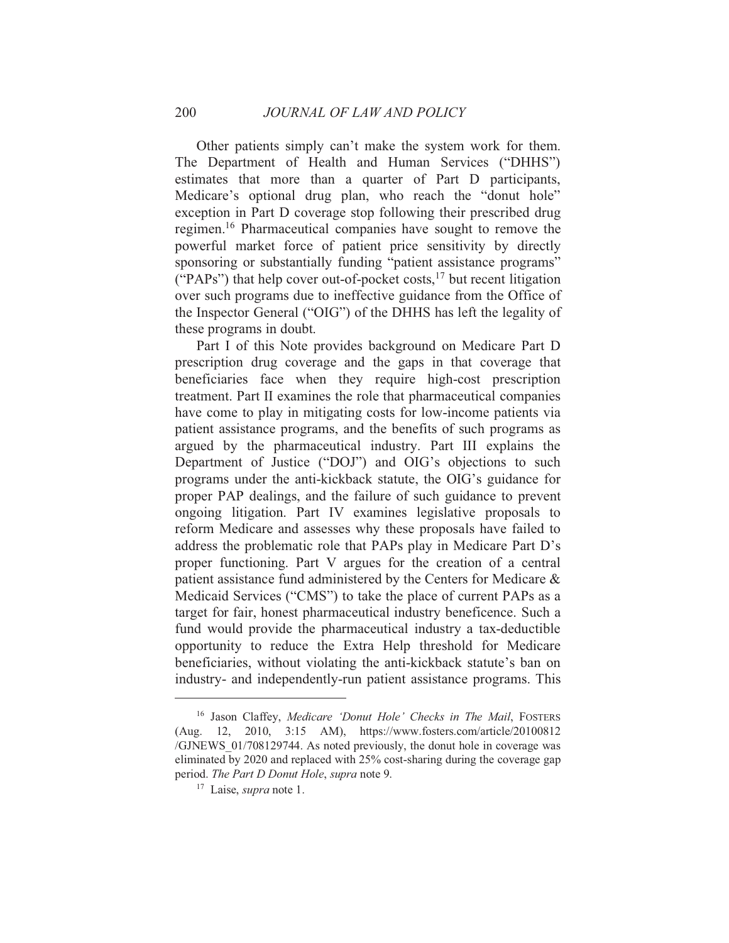Other patients simply can't make the system work for them. The Department of Health and Human Services ("DHHS") estimates that more than a quarter of Part D participants, Medicare's optional drug plan, who reach the "donut hole" exception in Part D coverage stop following their prescribed drug regimen.<sup>16</sup> Pharmaceutical companies have sought to remove the powerful market force of patient price sensitivity by directly sponsoring or substantially funding "patient assistance programs" ("PAPs") that help cover out-of-pocket costs,<sup>17</sup> but recent litigation over such programs due to ineffective guidance from the Office of the Inspector General ("OIG") of the DHHS has left the legality of these programs in doubt.

Part I of this Note provides background on Medicare Part D prescription drug coverage and the gaps in that coverage that beneficiaries face when they require high-cost prescription treatment. Part II examines the role that pharmaceutical companies have come to play in mitigating costs for low-income patients via patient assistance programs, and the benefits of such programs as argued by the pharmaceutical industry. Part III explains the Department of Justice ("DOJ") and OIG's objections to such programs under the anti-kickback statute, the OIG's guidance for proper PAP dealings, and the failure of such guidance to prevent ongoing litigation. Part IV examines legislative proposals to reform Medicare and assesses why these proposals have failed to address the problematic role that PAPs play in Medicare Part D's proper functioning. Part V argues for the creation of a central patient assistance fund administered by the Centers for Medicare  $\&$ Medicaid Services ("CMS") to take the place of current PAPs as a target for fair, honest pharmaceutical industry beneficence. Such a fund would provide the pharmaceutical industry a tax-deductible opportunity to reduce the Extra Help threshold for Medicare beneficiaries, without violating the anti-kickback statute's ban on industry- and independently-run patient assistance programs. This

<sup>&</sup>lt;sup>16</sup> Jason Claffey, Medicare 'Donut Hole' Checks in The Mail, FOSTERS (Aug. 12, 2010, 3:15 AM), https://www.fosters.com/article/20100812 /GJNEWS 01/708129744. As noted previously, the donut hole in coverage was eliminated by 2020 and replaced with 25% cost-sharing during the coverage gap period. The Part D Donut Hole, supra note 9.

<sup>&</sup>lt;sup>17</sup> Laise, *supra* note 1.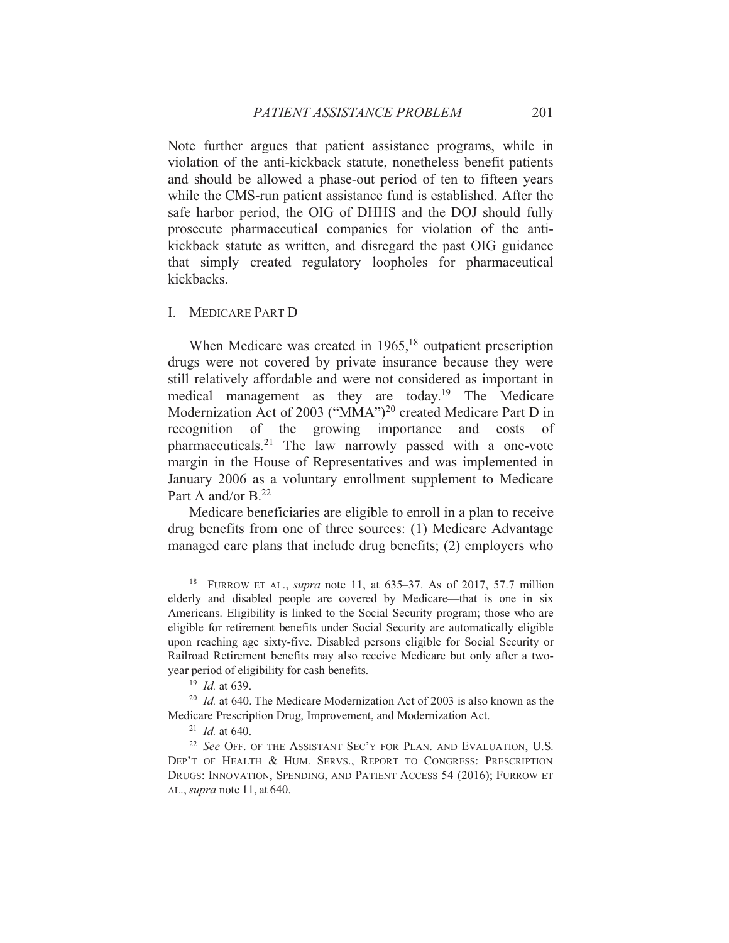Note further argues that patient assistance programs, while in violation of the anti-kickback statute, nonetheless benefit patients and should be allowed a phase-out period of ten to fifteen years while the CMS-run patient assistance fund is established. After the safe harbor period, the OIG of DHHS and the DOJ should fully prosecute pharmaceutical companies for violation of the antikickback statute as written, and disregard the past OIG guidance that simply created regulatory loopholes for pharmaceutical kickbacks.

I. MEDICARE PART D

When Medicare was created in 1965,<sup>18</sup> outpatient prescription drugs were not covered by private insurance because they were still relatively affordable and were not considered as important in medical management as they are today.<sup>19</sup> The Medicare Modernization Act of 2003 ("MMA")<sup>20</sup> created Medicare Part D in recognition of the growing importance and costs of pharmaceuticals.<sup>21</sup> The law narrowly passed with a one-vote margin in the House of Representatives and was implemented in January 2006 as a voluntary enrollment supplement to Medicare Part A and/or  $B^{22}$ 

Medicare beneficiaries are eligible to enroll in a plan to receive drug benefits from one of three sources: (1) Medicare Advantage managed care plans that include drug benefits; (2) employers who

<sup>&</sup>lt;sup>18</sup> FURROW ET AL., *supra* note 11, at 635–37. As of 2017, 57.7 million elderly and disabled people are covered by Medicare—that is one in six Americans. Eligibility is linked to the Social Security program; those who are eligible for retirement benefits under Social Security are automatically eligible upon reaching age sixty-five. Disabled persons eligible for Social Security or Railroad Retirement benefits may also receive Medicare but only after a twoyear period of eligibility for cash benefits.

 $19$  *Id.* at 639.

 $^{20}$  *Id.* at 640. The Medicare Modernization Act of 2003 is also known as the Medicare Prescription Drug, Improvement, and Modernization Act.

 $^{21}$  *Id.* at 640.

<sup>&</sup>lt;sup>22</sup> See OFF. OF THE ASSISTANT SEC'Y FOR PLAN. AND EVALUATION, U.S. DEP'T OF HEALTH & HUM. SERVS., REPORT TO CONGRESS: PRESCRIPTION DRUGS: INNOVATION, SPENDING, AND PATIENT ACCESS 54 (2016); FURROW ET  $AL<sub>1</sub>$  supra note 11, at 640.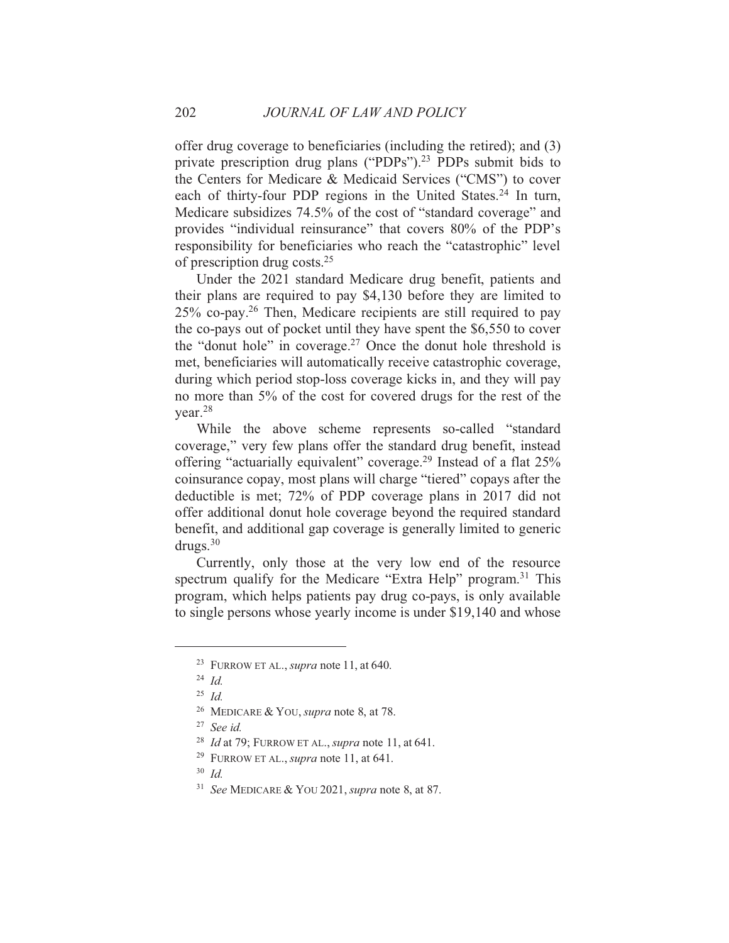offer drug coverage to beneficiaries (including the retired); and (3) private prescription drug plans ("PDPs").<sup>23</sup> PDPs submit bids to the Centers for Medicare & Medicaid Services ("CMS") to cover each of thirty-four PDP regions in the United States.<sup>24</sup> In turn, Medicare subsidizes 74.5% of the cost of "standard coverage" and provides "individual reinsurance" that covers 80% of the PDP's responsibility for beneficiaries who reach the "catastrophic" level of prescription drug costs.<sup>25</sup>

Under the 2021 standard Medicare drug benefit, patients and their plans are required to pay \$4,130 before they are limited to 25% co-pay.<sup>26</sup> Then, Medicare recipients are still required to pay the co-pays out of pocket until they have spent the \$6,550 to cover the "donut hole" in coverage.<sup>27</sup> Once the donut hole threshold is met, beneficiaries will automatically receive catastrophic coverage, during which period stop-loss coverage kicks in, and they will pay no more than 5% of the cost for covered drugs for the rest of the vear. $28$ 

While the above scheme represents so-called "standard coverage," very few plans offer the standard drug benefit, instead offering "actuarially equivalent" coverage.<sup>29</sup> Instead of a flat 25% coinsurance copay, most plans will charge "tiered" copays after the deductible is met; 72% of PDP coverage plans in 2017 did not offer additional donut hole coverage beyond the required standard benefit, and additional gap coverage is generally limited to generic  $drugs.^{30}$ 

Currently, only those at the very low end of the resource spectrum qualify for the Medicare "Extra Help" program.<sup>31</sup> This program, which helps patients pay drug co-pays, is only available to single persons whose yearly income is under \$19,140 and whose

<sup>&</sup>lt;sup>23</sup> FURROW ET AL., *supra* note 11, at 640.

 $24$  Id.

 $^{25}$  *Id.* 

<sup>&</sup>lt;sup>26</sup> MEDICARE & YOU, *supra* note 8, at 78.

 $27$  See id.

<sup>&</sup>lt;sup>28</sup> *Id* at 79; FURROW ET AL., *supra* note 11, at 641.

<sup>&</sup>lt;sup>29</sup> FURROW ET AL., *supra* note 11, at 641.

 $30$  Id.

<sup>&</sup>lt;sup>31</sup> See MEDICARE & YOU 2021, *supra* note 8, at 87.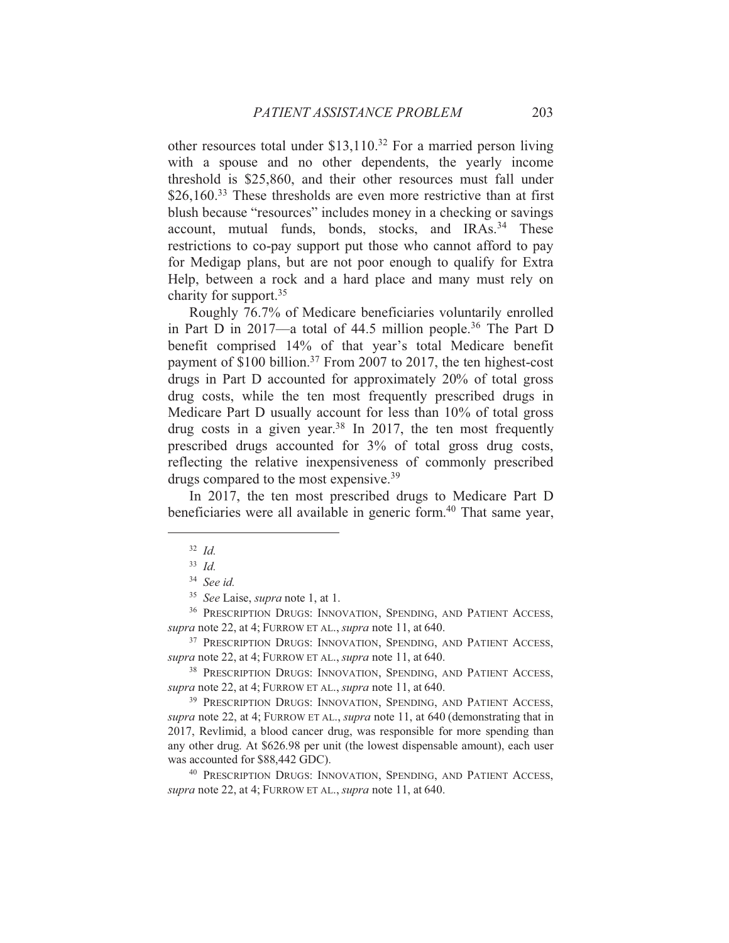other resources total under  $$13,110.<sup>32</sup>$  For a married person living with a spouse and no other dependents, the yearly income threshold is \$25,860, and their other resources must fall under  $$26,160<sup>33</sup>$  These thresholds are even more restrictive than at first blush because "resources" includes money in a checking or savings account, mutual funds, bonds, stocks, and IRAs.<sup>34</sup> These restrictions to co-pay support put those who cannot afford to pay for Medigap plans, but are not poor enough to qualify for Extra Help, between a rock and a hard place and many must rely on charity for support.  $35$ 

Roughly 76.7% of Medicare beneficiaries voluntarily enrolled in Part D in 2017—a total of 44.5 million people.<sup>36</sup> The Part D benefit comprised 14% of that year's total Medicare benefit payment of \$100 billion.<sup>37</sup> From 2007 to 2017, the ten highest-cost drugs in Part D accounted for approximately 20% of total gross drug costs, while the ten most frequently prescribed drugs in Medicare Part D usually account for less than 10% of total gross drug costs in a given year.<sup>38</sup> In 2017, the ten most frequently prescribed drugs accounted for 3% of total gross drug costs, reflecting the relative inexpensiveness of commonly prescribed drugs compared to the most expensive.<sup>39</sup>

In 2017, the ten most prescribed drugs to Medicare Part D beneficiaries were all available in generic form.<sup>40</sup> That same year,

 $32$  *Id.* 

 $33 \text{ Id}$ 

 $34$  See id.

<sup>&</sup>lt;sup>35</sup> See Laise, *supra* note 1, at 1.

<sup>&</sup>lt;sup>36</sup> PRESCRIPTION DRUGS: INNOVATION, SPENDING, AND PATIENT ACCESS, supra note 22, at 4; FURROW ET AL., supra note 11, at 640.

<sup>&</sup>lt;sup>37</sup> PRESCRIPTION DRUGS: INNOVATION, SPENDING, AND PATIENT ACCESS, supra note 22, at 4; FURROW ET AL., *supra* note 11, at 640.

<sup>&</sup>lt;sup>38</sup> PRESCRIPTION DRUGS: INNOVATION, SPENDING, AND PATIENT ACCESS, supra note 22, at 4; FURROW ET AL., supra note 11, at 640.

<sup>&</sup>lt;sup>39</sup> PRESCRIPTION DRUGS: INNOVATION, SPENDING, AND PATIENT ACCESS, supra note 22, at 4; FURROW ET AL., supra note 11, at 640 (demonstrating that in 2017, Revlimid, a blood cancer drug, was responsible for more spending than any other drug. At \$626.98 per unit (the lowest dispensable amount), each user was accounted for \$88,442 GDC).

<sup>&</sup>lt;sup>40</sup> PRESCRIPTION DRUGS: INNOVATION, SPENDING, AND PATIENT ACCESS, *supra* note 22, at 4; FURROW ET AL., *supra* note 11, at 640.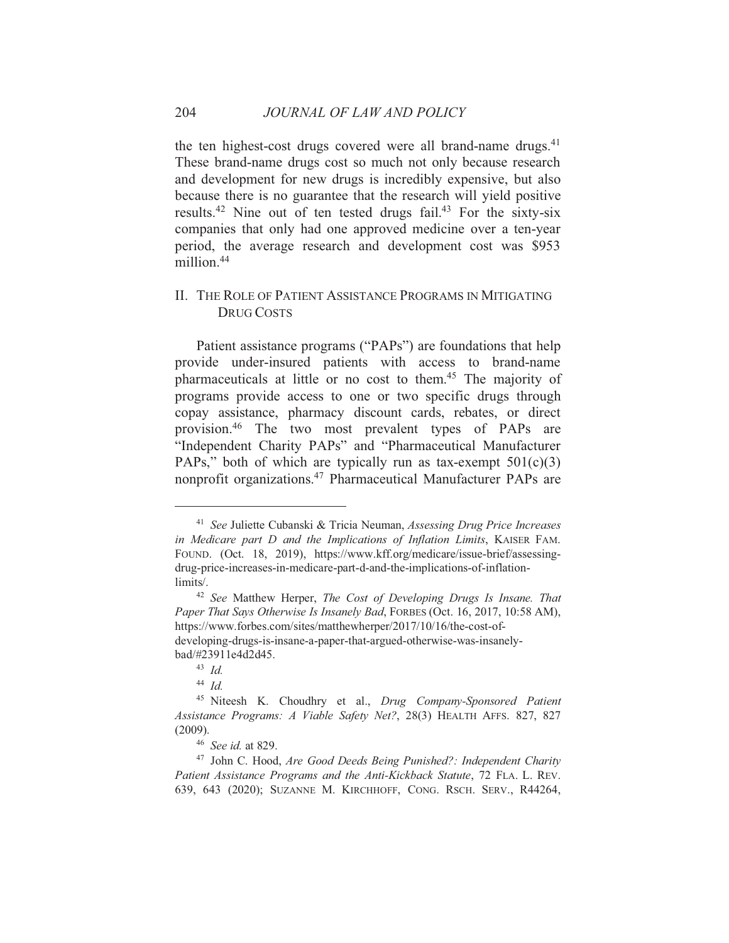the ten highest-cost drugs covered were all brand-name drugs.<sup>41</sup> These brand-name drugs cost so much not only because research and development for new drugs is incredibly expensive, but also because there is no guarantee that the research will yield positive results.<sup>42</sup> Nine out of ten tested drugs fail.<sup>43</sup> For the sixty-six companies that only had one approved medicine over a ten-year period, the average research and development cost was \$953 million.<sup>44</sup>

## II. THE ROLE OF PATIENT ASSISTANCE PROGRAMS IN MITIGATING **DRUG COSTS**

Patient assistance programs ("PAPs") are foundations that help provide under-insured patients with access to brand-name pharmaceuticals at little or no cost to them.<sup>45</sup> The majority of programs provide access to one or two specific drugs through copay assistance, pharmacy discount cards, rebates, or direct provision.<sup>46</sup> The two most prevalent types of PAPs are "Independent Charity PAPs" and "Pharmaceutical Manufacturer PAPs," both of which are typically run as tax-exempt  $501(c)(3)$ nonprofit organizations.<sup>47</sup> Pharmaceutical Manufacturer PAPs are

<sup>&</sup>lt;sup>41</sup> See Juliette Cubanski & Tricia Neuman, Assessing Drug Price Increases in Medicare part D and the Implications of Inflation Limits, KAISER FAM. FOUND. (Oct. 18, 2019), https://www.kff.org/medicare/issue-brief/assessingdrug-price-increases-in-medicare-part-d-and-the-implications-of-inflationlimits/.

<sup>&</sup>lt;sup>42</sup> See Matthew Herper, The Cost of Developing Drugs Is Insane. That Paper That Says Otherwise Is Insanely Bad, FORBES (Oct. 16, 2017, 10:58 AM), https://www.forbes.com/sites/matthewherper/2017/10/16/the-cost-ofdeveloping-drugs-is-insane-a-paper-that-argued-otherwise-was-insanelybad/#23911e4d2d45.

 $43$  *Id.* 

<sup>&</sup>lt;sup>44</sup> Id

<sup>&</sup>lt;sup>45</sup> Niteesh K. Choudhry et al., Drug Company-Sponsored Patient Assistance Programs: A Viable Safety Net?, 28(3) HEALTH AFFS. 827, 827  $(2009).$ 

<sup>&</sup>lt;sup>46</sup> See id. at 829.

<sup>&</sup>lt;sup>47</sup> John C. Hood, Are Good Deeds Being Punished?: Independent Charity Patient Assistance Programs and the Anti-Kickback Statute, 72 FLA. L. REV. 639, 643 (2020); SUZANNE M. KIRCHHOFF, CONG. RSCH. SERV., R44264,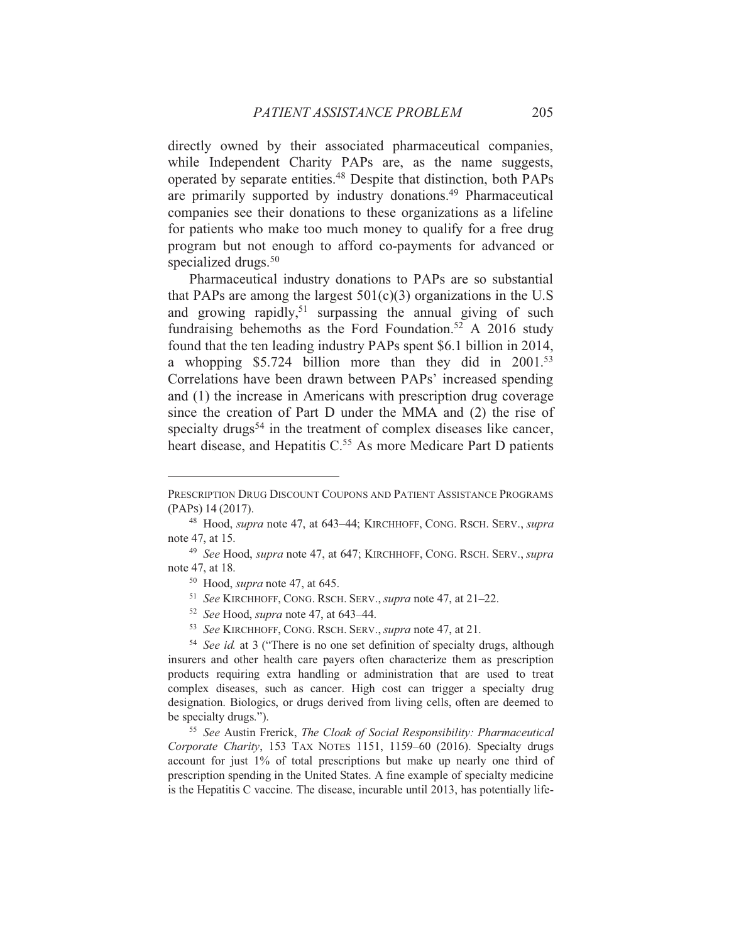directly owned by their associated pharmaceutical companies, while Independent Charity PAPs are, as the name suggests, operated by separate entities.<sup>48</sup> Despite that distinction, both PAPs are primarily supported by industry donations.<sup>49</sup> Pharmaceutical companies see their donations to these organizations as a lifeline for patients who make too much money to qualify for a free drug program but not enough to afford co-payments for advanced or specialized drugs.<sup>50</sup>

Pharmaceutical industry donations to PAPs are so substantial that PAPs are among the largest  $501(c)(3)$  organizations in the U.S and growing rapidly,<sup>51</sup> surpassing the annual giving of such fundraising behemoths as the Ford Foundation.<sup>52</sup> A 2016 study found that the ten leading industry PAPs spent \$6.1 billion in 2014, a whopping \$5.724 billion more than they did in 2001.<sup>53</sup> Correlations have been drawn between PAPs' increased spending and (1) the increase in Americans with prescription drug coverage since the creation of Part D under the MMA and (2) the rise of specialty drugs<sup>54</sup> in the treatment of complex diseases like cancer, heart disease, and Hepatitis C.<sup>55</sup> As more Medicare Part D patients

<sup>52</sup> See Hood, *supra* note 47, at 643–44.

PRESCRIPTION DRUG DISCOUNT COUPONS AND PATIENT ASSISTANCE PROGRAMS (PAPs) 14 (2017).

<sup>&</sup>lt;sup>48</sup> Hood, *supra* note 47, at 643–44; KIRCHHOFF, CONG. RSCH. SERV., *supra* note 47, at 15.

<sup>&</sup>lt;sup>49</sup> See Hood, *supra* note 47, at 647; KIRCHHOFF, CONG, RSCH, SERV., *supra* note 47, at 18.

 $50$  Hood, *supra* note 47, at 645.

<sup>&</sup>lt;sup>51</sup> See KIRCHHOFF, CONG. RSCH. SERV., *supra* note 47, at 21-22.

<sup>&</sup>lt;sup>53</sup> See KIRCHHOFF, CONG. RSCH. SERV., *supra* note 47, at 21.

<sup>&</sup>lt;sup>54</sup> See id. at 3 ("There is no one set definition of specialty drugs, although insurers and other health care payers often characterize them as prescription products requiring extra handling or administration that are used to treat complex diseases, such as cancer. High cost can trigger a specialty drug designation. Biologics, or drugs derived from living cells, often are deemed to be specialty drugs.").

<sup>&</sup>lt;sup>55</sup> See Austin Frerick, The Cloak of Social Responsibility: Pharmaceutical Corporate Charity, 153 TAX NOTES 1151, 1159-60 (2016). Specialty drugs account for just 1% of total prescriptions but make up nearly one third of prescription spending in the United States. A fine example of specialty medicine is the Hepatitis C vaccine. The disease, incurable until 2013, has potentially life-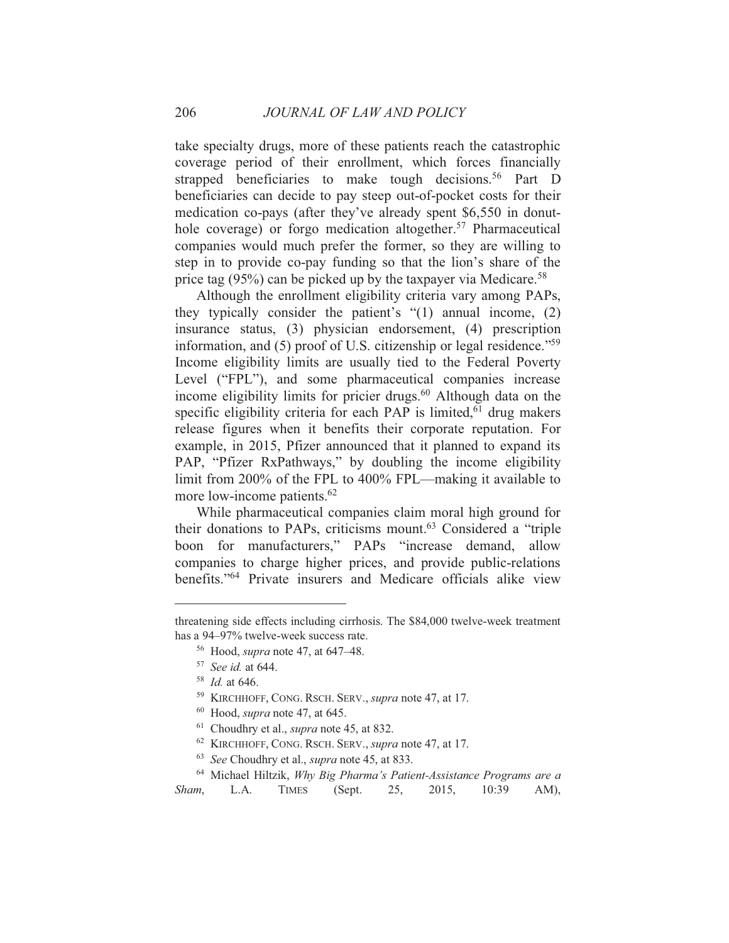take specialty drugs, more of these patients reach the catastrophic coverage period of their enrollment, which forces financially strapped beneficiaries to make tough decisions.<sup>56</sup> Part D beneficiaries can decide to pay steep out-of-pocket costs for their medication co-pays (after they've already spent \$6,550 in donuthole coverage) or forgo medication altogether.<sup>57</sup> Pharmaceutical companies would much prefer the former, so they are willing to step in to provide co-pay funding so that the lion's share of the price tag  $(95\%)$  can be picked up by the taxpayer via Medicare.<sup>58</sup>

Although the enrollment eligibility criteria vary among PAPs, they typically consider the patient's  $\degree(1)$  annual income, (2) insurance status, (3) physician endorsement, (4) prescription information, and (5) proof of U.S. citizenship or legal residence."<sup>59</sup> Income eligibility limits are usually tied to the Federal Poverty Level ("FPL"), and some pharmaceutical companies increase income eligibility limits for pricier drugs.<sup>60</sup> Although data on the specific eligibility criteria for each PAP is limited,<sup>61</sup> drug makers release figures when it benefits their corporate reputation. For example, in 2015, Pfizer announced that it planned to expand its PAP, "Pfizer RxPathways," by doubling the income eligibility limit from 200% of the FPL to 400% FPL—making it available to more low-income patients.<sup>62</sup>

While pharmaceutical companies claim moral high ground for their donations to PAPs, criticisms mount.<sup>63</sup> Considered a "triple boon for manufacturers," PAPs "increase demand, allow companies to charge higher prices, and provide public-relations benefits."<sup>64</sup> Private insurers and Medicare officials alike view

<sup>63</sup> See Choudhry et al., *supra* note 45, at 833.

threatening side effects including cirrhosis. The \$84,000 twelve-week treatment has a 94–97% twelve-week success rate.

<sup>&</sup>lt;sup>56</sup> Hood, *supra* note 47, at 647–48.

<sup>&</sup>lt;sup>57</sup> See id. at 644.

 $^{58}$  *Id.* at 646.

<sup>&</sup>lt;sup>59</sup> KIRCHHOFF, CONG. RSCH. SERV., *supra* note 47, at 17.

<sup>60</sup> Hood, *supra* note 47, at 645.

 $61$  Choudhry et al., *supra* note 45, at 832.

<sup>&</sup>lt;sup>62</sup> KIRCHHOFF, CONG. RSCH. SERV., *supra* note 47, at 17.

<sup>&</sup>lt;sup>64</sup> Michael Hiltzik, *Why Big Pharma's Patient-Assistance Programs are a* Sham.  $L.A.$ **TIMES** (Sept.) 25. 2015.  $10:39$  $AM$ ).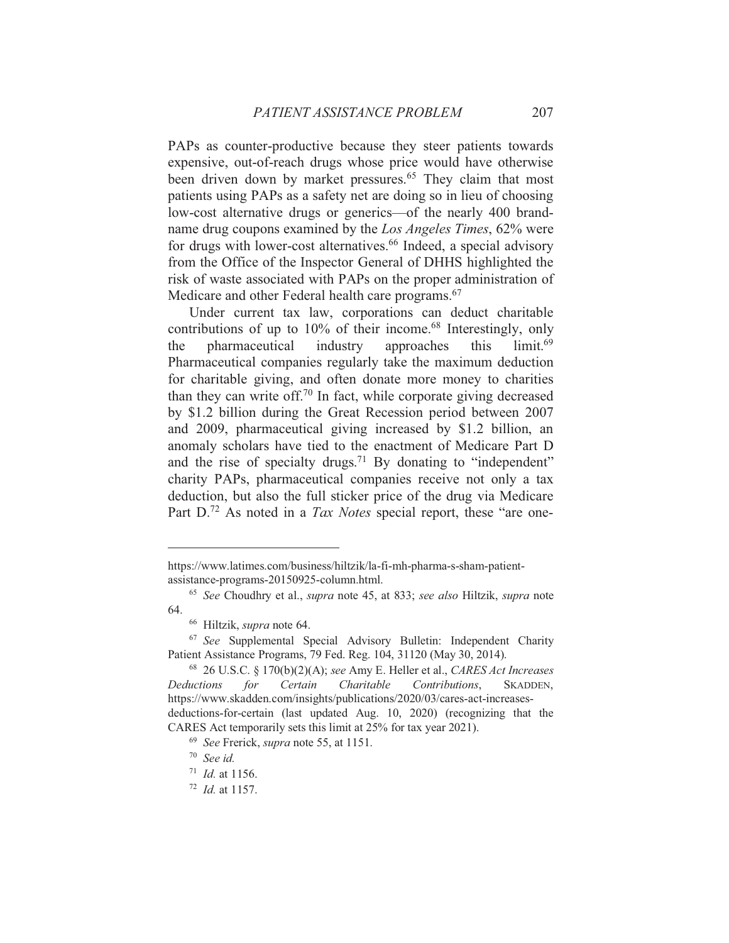PAPs as counter-productive because they steer patients towards expensive, out-of-reach drugs whose price would have otherwise been driven down by market pressures.<sup>65</sup> They claim that most patients using PAPs as a safety net are doing so in lieu of choosing low-cost alternative drugs or generics—of the nearly 400 brandname drug coupons examined by the Los Angeles Times, 62% were for drugs with lower-cost alternatives.<sup>66</sup> Indeed, a special advisory from the Office of the Inspector General of DHHS highlighted the risk of waste associated with PAPs on the proper administration of Medicare and other Federal health care programs.<sup>67</sup>

Under current tax law, corporations can deduct charitable contributions of up to 10% of their income.<sup>68</sup> Interestingly, only pharmaceutical industry approaches this  $limit<sup>69</sup>$ the Pharmaceutical companies regularly take the maximum deduction for charitable giving, and often donate more money to charities than they can write off.<sup>70</sup> In fact, while corporate giving decreased by \$1.2 billion during the Great Recession period between 2007 and 2009, pharmaceutical giving increased by \$1.2 billion, an anomaly scholars have tied to the enactment of Medicare Part D and the rise of specialty drugs.<sup>71</sup> By donating to "independent" charity PAPs, pharmaceutical companies receive not only a tax deduction, but also the full sticker price of the drug via Medicare Part  $D^{72}$  As noted in a Tax Notes special report, these "are one-

https://www.latimes.com/business/hiltzik/la-fi-mh-pharma-s-sham-patientassistance-programs-20150925-column.html.

<sup>&</sup>lt;sup>65</sup> See Choudhry et al., supra note 45, at 833; see also Hiltzik, supra note 64.

<sup>&</sup>lt;sup>66</sup> Hiltzik, *supra* note 64.

<sup>&</sup>lt;sup>67</sup> See Supplemental Special Advisory Bulletin: Independent Charity Patient Assistance Programs, 79 Fed. Reg. 104, 31120 (May 30, 2014).

<sup>&</sup>lt;sup>68</sup> 26 U.S.C. § 170(b)(2)(A); see Amy E. Heller et al., *CARES Act Increases* Charitable **Deductions** for Certain Contributions. SKADDEN. https://www.skadden.com/insights/publications/2020/03/cares-act-increasesdeductions-for-certain (last updated Aug. 10, 2020) (recognizing that the CARES Act temporarily sets this limit at 25% for tax year 2021).

<sup>&</sup>lt;sup>69</sup> See Frerick, *supra* note 55, at 1151.

 $70$  See id.

 $11$  *Id.* at 1156.

 $72$  *Id.* at 1157.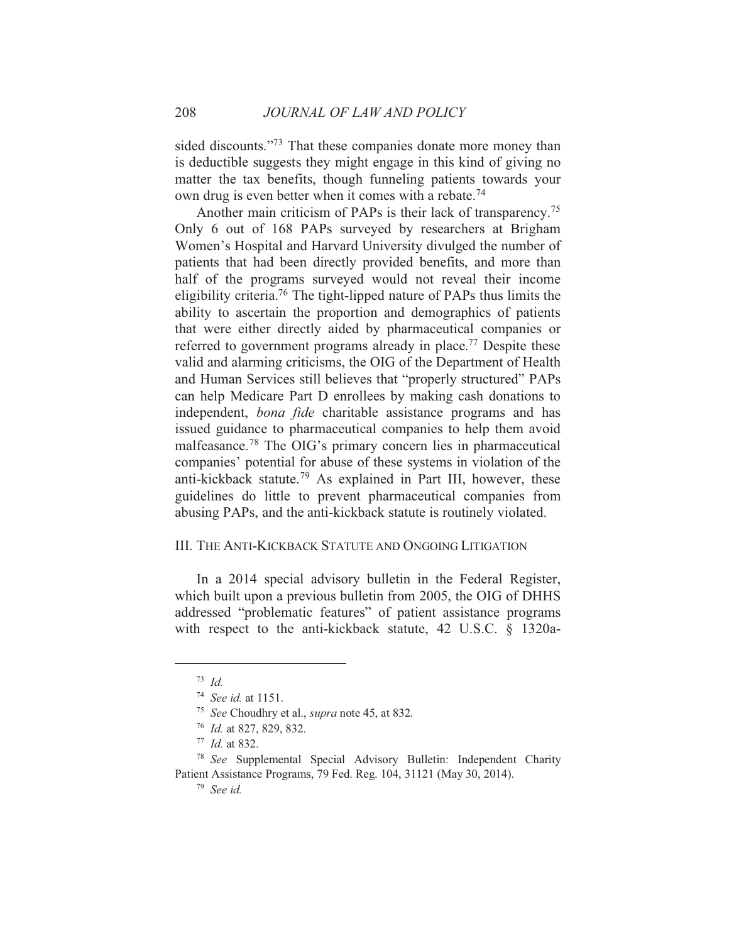sided discounts."<sup>73</sup> That these companies donate more money than is deductible suggests they might engage in this kind of giving no matter the tax benefits, though funneling patients towards your own drug is even better when it comes with a rebate.<sup>74</sup>

Another main criticism of PAPs is their lack of transparency.<sup>75</sup> Only 6 out of 168 PAPs surveyed by researchers at Brigham Women's Hospital and Harvard University divulged the number of patients that had been directly provided benefits, and more than half of the programs surveyed would not reveal their income eligibility criteria.<sup>76</sup> The tight-lipped nature of PAPs thus limits the ability to ascertain the proportion and demographics of patients that were either directly aided by pharmaceutical companies or referred to government programs already in place.<sup>77</sup> Despite these valid and alarming criticisms, the OIG of the Department of Health and Human Services still believes that "properly structured" PAPs can help Medicare Part D enrollees by making cash donations to independent, bona fide charitable assistance programs and has issued guidance to pharmaceutical companies to help them avoid malfeasance.<sup>78</sup> The OIG's primary concern lies in pharmaceutical companies' potential for abuse of these systems in violation of the anti-kickback statute.<sup>79</sup> As explained in Part III, however, these guidelines do little to prevent pharmaceutical companies from abusing PAPs, and the anti-kickback statute is routinely violated.

## III. THE ANTI-KICKBACK STATUTE AND ONGOING LITIGATION

In a 2014 special advisory bulletin in the Federal Register, which built upon a previous bulletin from 2005, the OIG of DHHS addressed "problematic features" of patient assistance programs with respect to the anti-kickback statute, 42 U.S.C. § 1320a-

 $^{73}$  *Id.* 

<sup>&</sup>lt;sup>74</sup> See id. at 1151.

<sup>&</sup>lt;sup>75</sup> See Choudhry et al., *supra* note 45, at 832.

<sup>&</sup>lt;sup>76</sup> *Id.* at 827, 829, 832.

 $77$  *Id.* at 832.

<sup>&</sup>lt;sup>78</sup> See Supplemental Special Advisory Bulletin: Independent Charity Patient Assistance Programs, 79 Fed. Reg. 104, 31121 (May 30, 2014).

 $79$  See id.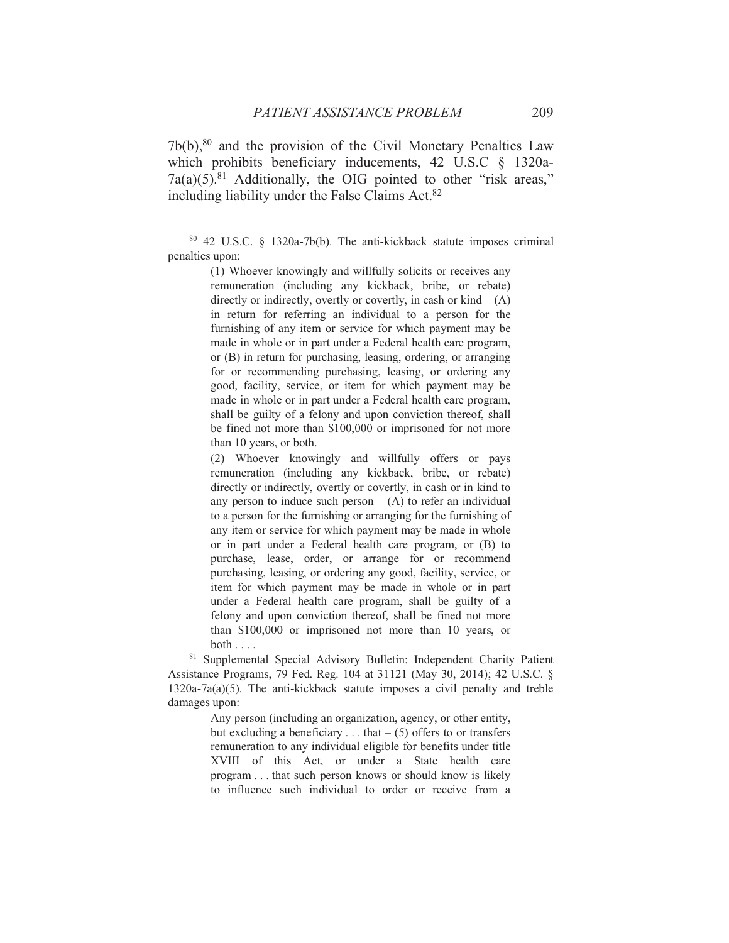$7b(b)$ ,  $80$  and the provision of the Civil Monetary Penalties Law which prohibits beneficiary inducements, 42 U.S.C § 1320a- $7a(a)(5).<sup>81</sup>$  Additionally, the OIG pointed to other "risk areas," including liability under the False Claims Act.<sup>82</sup>

(1) Whoever knowingly and willfully solicits or receives any remuneration (including any kickback, bribe, or rebate) directly or indirectly, overtly or covertly, in cash or  $\text{kind} - (A)$ in return for referring an individual to a person for the furnishing of any item or service for which payment may be made in whole or in part under a Federal health care program. or (B) in return for purchasing, leasing, ordering, or arranging for or recommending purchasing, leasing, or ordering any good, facility, service, or item for which payment may be made in whole or in part under a Federal health care program, shall be guilty of a felony and upon conviction thereof, shall be fined not more than \$100,000 or imprisoned for not more than 10 years, or both.

(2) Whoever knowingly and willfully offers or pays remuneration (including any kickback, bribe, or rebate) directly or indirectly, overtly or covertly, in cash or in kind to any person to induce such person  $- (A)$  to refer an individual to a person for the furnishing or arranging for the furnishing of any item or service for which payment may be made in whole or in part under a Federal health care program, or (B) to purchase, lease, order, or arrange for or recommend purchasing, leasing, or ordering any good, facility, service, or item for which payment may be made in whole or in part under a Federal health care program, shall be guilty of a felony and upon conviction thereof, shall be fined not more than \$100,000 or imprisoned not more than 10 years, or both  $\ldots$ 

<sup>81</sup> Supplemental Special Advisory Bulletin: Independent Charity Patient Assistance Programs, 79 Fed. Reg. 104 at 31121 (May 30, 2014); 42 U.S.C. §  $1320a-7a(a)(5)$ . The anti-kickback statute imposes a civil penalty and treble damages upon:

> Any person (including an organization, agency, or other entity, but excluding a beneficiary ... that  $-$  (5) offers to or transfers remuneration to any individual eligible for benefits under title XVIII of this Act, or under a State health care program . . . that such person knows or should know is likely to influence such individual to order or receive from a

<sup>80 42</sup> U.S.C. § 1320a-7b(b). The anti-kickback statute imposes criminal penalties upon: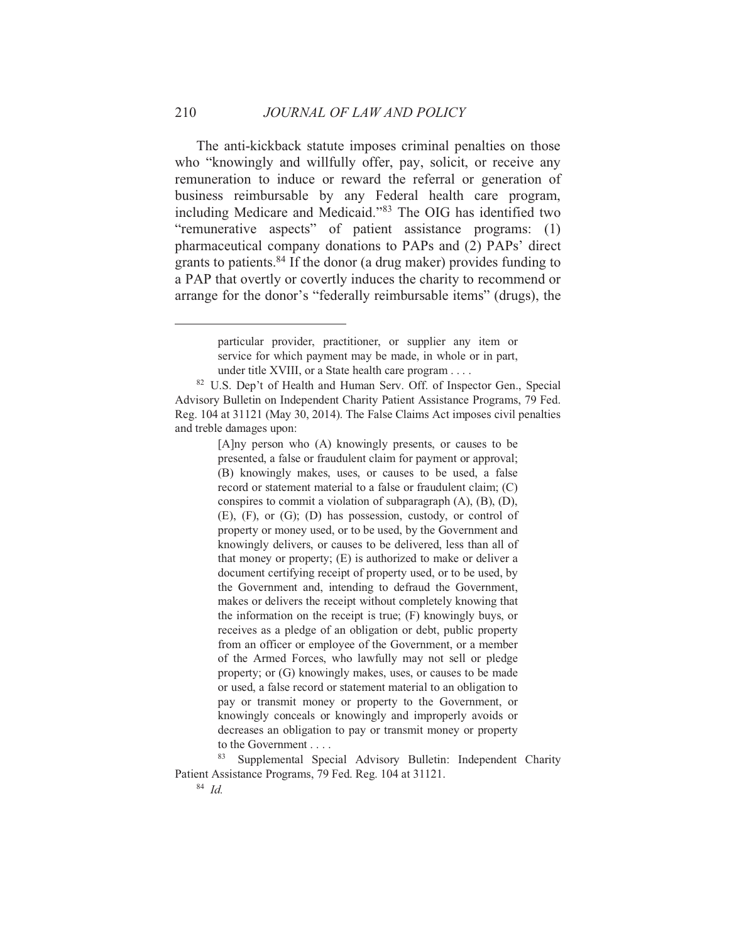The anti-kickback statute imposes criminal penalties on those who "knowingly and willfully offer, pay, solicit, or receive any remuneration to induce or reward the referral or generation of business reimbursable by any Federal health care program, including Medicare and Medicaid."<sup>83</sup> The OIG has identified two "remunerative aspects" of patient assistance programs: (1) pharmaceutical company donations to PAPs and (2) PAPs' direct grants to patients.<sup>84</sup> If the donor (a drug maker) provides funding to a PAP that overtly or covertly induces the charity to recommend or arrange for the donor's "federally reimbursable items" (drugs), the

[A]ny person who (A) knowingly presents, or causes to be presented, a false or fraudulent claim for payment or approval; (B) knowingly makes, uses, or causes to be used, a false record or statement material to a false or fraudulent claim: (C) conspires to commit a violation of subparagraph  $(A)$ ,  $(B)$ ,  $(D)$ ,  $(E)$ ,  $(F)$ , or  $(G)$ ;  $(D)$  has possession, custody, or control of property or money used, or to be used, by the Government and knowingly delivers, or causes to be delivered, less than all of that money or property;  $(E)$  is authorized to make or deliver a document certifying receipt of property used, or to be used, by the Government and, intending to defraud the Government, makes or delivers the receipt without completely knowing that the information on the receipt is true; (F) knowingly buys, or receives as a pledge of an obligation or debt, public property from an officer or employee of the Government, or a member of the Armed Forces, who lawfully may not sell or pledge property; or (G) knowingly makes, uses, or causes to be made or used, a false record or statement material to an obligation to pay or transmit money or property to the Government, or knowingly conceals or knowingly and improperly avoids or decreases an obligation to pay or transmit money or property to the Government . . . .

83 Supplemental Special Advisory Bulletin: Independent Charity Patient Assistance Programs, 79 Fed. Reg. 104 at 31121.

 $84$  Id

particular provider, practitioner, or supplier any item or service for which payment may be made, in whole or in part, under title XVIII, or a State health care program . . . .

<sup>&</sup>lt;sup>82</sup> U.S. Dep't of Health and Human Serv. Off. of Inspector Gen., Special Advisory Bulletin on Independent Charity Patient Assistance Programs, 79 Fed. Reg. 104 at 31121 (May 30, 2014). The False Claims Act imposes civil penalties and treble damages upon: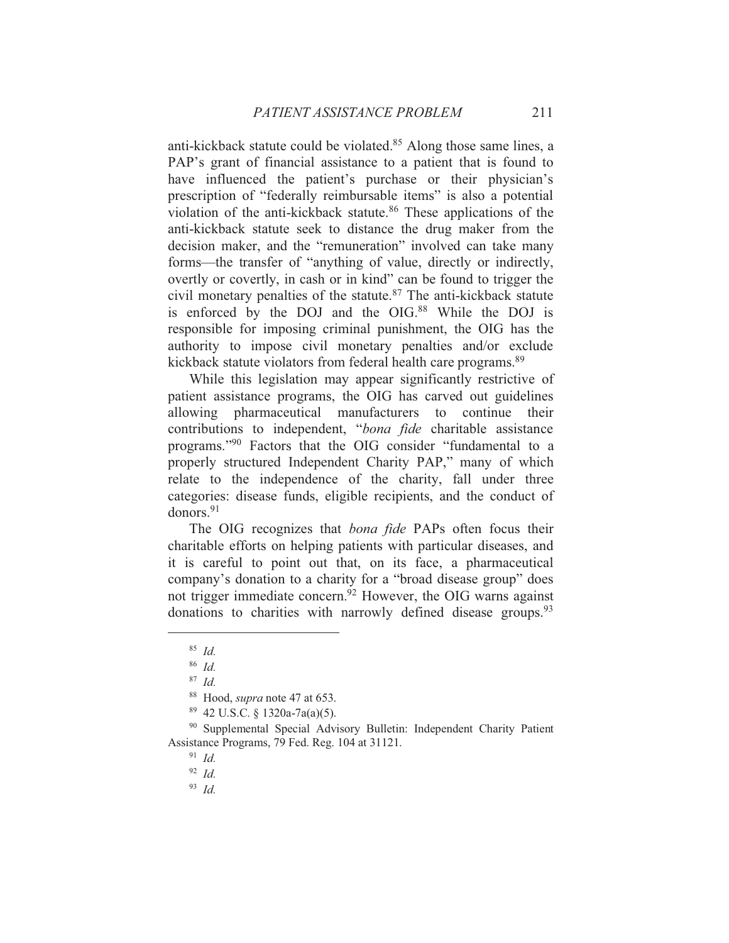anti-kickback statute could be violated.<sup>85</sup> Along those same lines, a PAP's grant of financial assistance to a patient that is found to have influenced the patient's purchase or their physician's prescription of "federally reimbursable items" is also a potential violation of the anti-kickback statute.<sup>86</sup> These applications of the anti-kickback statute seek to distance the drug maker from the decision maker, and the "remuneration" involved can take many forms—the transfer of "anything of value, directly or indirectly, overtly or covertly, in cash or in kind" can be found to trigger the civil monetary penalties of the statute.<sup>87</sup> The anti-kickback statute is enforced by the DOJ and the OIG.<sup>88</sup> While the DOJ is responsible for imposing criminal punishment, the OIG has the authority to impose civil monetary penalties and/or exclude kickback statute violators from federal health care programs.<sup>89</sup>

While this legislation may appear significantly restrictive of patient assistance programs, the OIG has carved out guidelines allowing pharmaceutical manufacturers to continue their contributions to independent, "bona fide charitable assistance programs."<sup>90</sup> Factors that the OIG consider "fundamental to a properly structured Independent Charity PAP," many of which relate to the independence of the charity, fall under three categories: disease funds, eligible recipients, and the conduct of donors. $91$ 

The OIG recognizes that *bona fide* PAPs often focus their charitable efforts on helping patients with particular diseases, and it is careful to point out that, on its face, a pharmaceutical company's donation to a charity for a "broad disease group" does not trigger immediate concern.<sup>92</sup> However, the OIG warns against donations to charities with narrowly defined disease groups.<sup>93</sup>

 $93$  Id

 $85$  *Id.* 

 $86$  *Id.* 

 $87$  Id.

<sup>&</sup>lt;sup>88</sup> Hood, *supra* note 47 at 653.

 $89$  42 U.S.C. § 1320a-7a(a)(5).

<sup>&</sup>lt;sup>90</sup> Supplemental Special Advisory Bulletin: Independent Charity Patient Assistance Programs, 79 Fed. Reg. 104 at 31121.

 $91$  *Id.* 

 $92$  *Id.*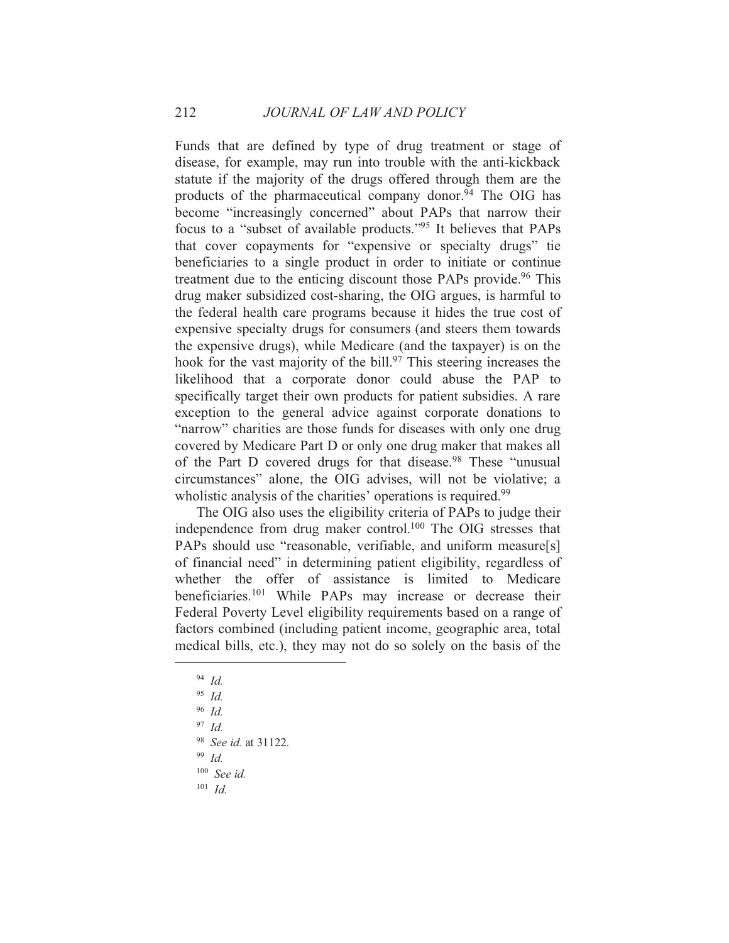Funds that are defined by type of drug treatment or stage of disease, for example, may run into trouble with the anti-kickback statute if the majority of the drugs offered through them are the products of the pharmaceutical company donor.<sup>94</sup> The OIG has become "increasingly concerned" about PAPs that narrow their focus to a "subset of available products."<sup>95</sup> It believes that PAPs that cover copayments for "expensive or specialty drugs" tie beneficiaries to a single product in order to initiate or continue treatment due to the enticing discount those PAPs provide.<sup>96</sup> This drug maker subsidized cost-sharing, the OIG argues, is harmful to the federal health care programs because it hides the true cost of expensive specialty drugs for consumers (and steers them towards) the expensive drugs), while Medicare (and the taxpayer) is on the hook for the vast majority of the bill.<sup>97</sup> This steering increases the likelihood that a corporate donor could abuse the PAP to specifically target their own products for patient subsidies. A rare exception to the general advice against corporate donations to "narrow" charities are those funds for diseases with only one drug covered by Medicare Part D or only one drug maker that makes all of the Part D covered drugs for that disease.<sup>98</sup> These "unusual circumstances" alone, the OIG advises, will not be violative; a wholistic analysis of the charities' operations is required.<sup>99</sup>

The OIG also uses the eligibility criteria of PAPs to judge their independence from drug maker control.<sup>100</sup> The OIG stresses that PAPs should use "reasonable, verifiable, and uniform measure[s] of financial need" in determining patient eligibility, regardless of whether the offer of assistance is limited to Medicare beneficiaries.<sup>101</sup> While PAPs may increase or decrease their Federal Poverty Level eligibility requirements based on a range of factors combined (including patient income, geographic area, total medical bills, etc.), they may not do so solely on the basis of the

 $94$  *Id.* 

 $95$  *Id.* 

 $96$  *Id.* 

 $97$  Id.

<sup>&</sup>lt;sup>98</sup> See id. at 31122.

 $99$  Id.

 $100$  See id.

 $101$  *Id.*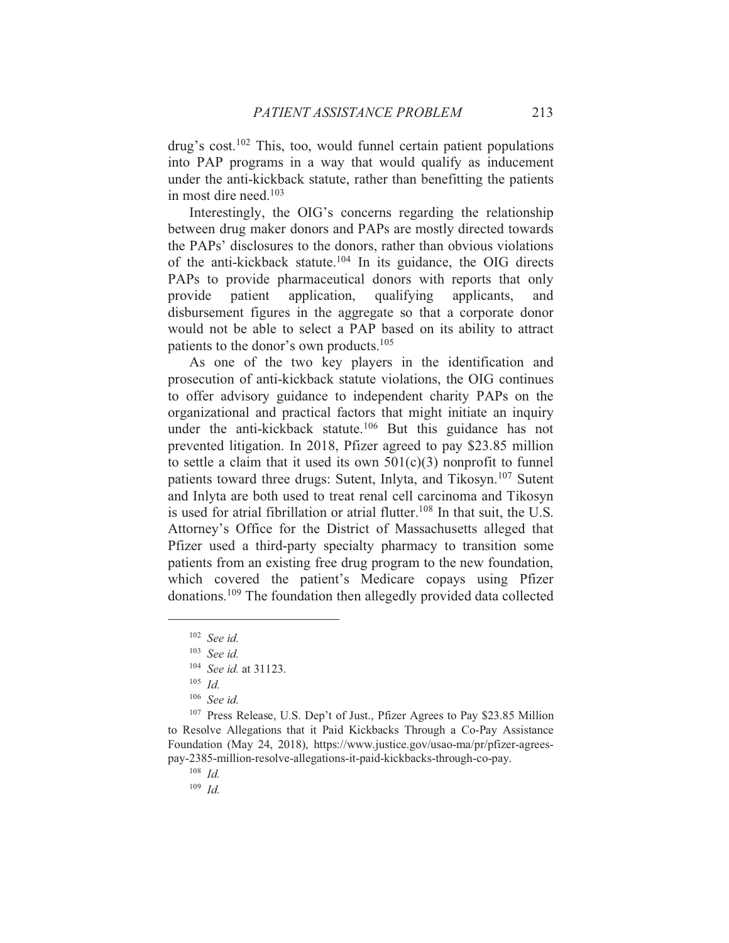drug's cost.<sup>102</sup> This, too, would funnel certain patient populations into PAP programs in a way that would qualify as inducement under the anti-kickback statute, rather than benefitting the patients in most dire need. $103$ 

Interestingly, the OIG's concerns regarding the relationship between drug maker donors and PAPs are mostly directed towards the PAPs' disclosures to the donors, rather than obvious violations of the anti-kickback statute.<sup>104</sup> In its guidance, the OIG directs PAPs to provide pharmaceutical donors with reports that only patient application, qualifying applicants, provide and disbursement figures in the aggregate so that a corporate donor would not be able to select a PAP based on its ability to attract patients to the donor's own products.<sup>105</sup>

As one of the two key players in the identification and prosecution of anti-kickback statute violations, the OIG continues to offer advisory guidance to independent charity PAPs on the organizational and practical factors that might initiate an inquiry under the anti-kickback statute.<sup>106</sup> But this guidance has not prevented litigation. In 2018, Pfizer agreed to pay \$23.85 million to settle a claim that it used its own  $501(c)(3)$  nonprofit to funnel patients toward three drugs: Sutent, Inlyta, and Tikosyn.<sup>107</sup> Sutent and Inlyta are both used to treat renal cell carcinoma and Tikosyn is used for atrial fibrillation or atrial flutter.<sup>108</sup> In that suit, the U.S. Attorney's Office for the District of Massachusetts alleged that Pfizer used a third-party specialty pharmacy to transition some patients from an existing free drug program to the new foundation, which covered the patient's Medicare copays using Pfizer donations.<sup>109</sup> The foundation then allegedly provided data collected

<sup>107</sup> Press Release, U.S. Dep't of Just., Pfizer Agrees to Pay \$23.85 Million to Resolve Allegations that it Paid Kickbacks Through a Co-Pay Assistance Foundation (May 24, 2018), https://www.justice.gov/usao-ma/pr/pfizer-agreespay-2385-million-resolve-allegations-it-paid-kickbacks-through-co-pay.

 $108$  *Id.* 

 $109$  *Id.* 

 $102$  See id.

 $103$  See id.

<sup>&</sup>lt;sup>104</sup> See id. at 31123.

 $105$  *Id.* 

 $106$  See id.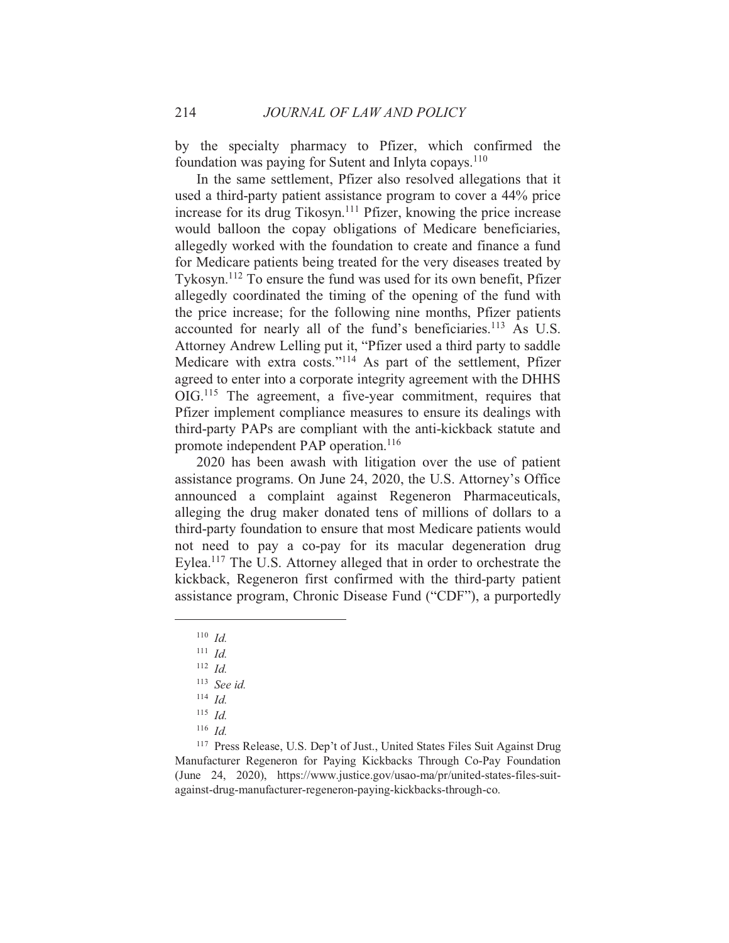by the specialty pharmacy to Pfizer, which confirmed the foundation was paying for Sutent and Inlyta copays.<sup>110</sup>

In the same settlement, Pfizer also resolved allegations that it used a third-party patient assistance program to cover a 44% price increase for its drug Tikosyn.<sup>111</sup> Pfizer, knowing the price increase would balloon the copay obligations of Medicare beneficiaries, allegedly worked with the foundation to create and finance a fund for Medicare patients being treated for the very diseases treated by Tykosyn.<sup>112</sup> To ensure the fund was used for its own benefit, Pfizer allegedly coordinated the timing of the opening of the fund with the price increase; for the following nine months, Pfizer patients accounted for nearly all of the fund's beneficiaries.<sup>113</sup> As U.S. Attorney Andrew Lelling put it, "Pfizer used a third party to saddle Medicare with extra costs."<sup>114</sup> As part of the settlement, Pfizer agreed to enter into a corporate integrity agreement with the DHHS  $OIG<sup>115</sup>$  The agreement, a five-year commitment, requires that Pfizer implement compliance measures to ensure its dealings with third-party PAPs are compliant with the anti-kickback statute and promote independent PAP operation.<sup>116</sup>

2020 has been awash with litigation over the use of patient assistance programs. On June 24, 2020, the U.S. Attorney's Office announced a complaint against Regeneron Pharmaceuticals, alleging the drug maker donated tens of millions of dollars to a third-party foundation to ensure that most Medicare patients would not need to pay a co-pay for its macular degeneration drug Eylea.<sup>117</sup> The U.S. Attorney alleged that in order to orchestrate the kickback, Regeneron first confirmed with the third-party patient assistance program, Chronic Disease Fund ("CDF"), a purportedly

214

 $116$  *Id.* 

<sup>117</sup> Press Release, U.S. Dep't of Just., United States Files Suit Against Drug Manufacturer Regeneron for Paying Kickbacks Through Co-Pay Foundation (June 24, 2020), https://www.justice.gov/usao-ma/pr/united-states-files-suitagainst-drug-manufacturer-regeneron-paying-kickbacks-through-co.

 $110$  Id.

 $111$  *Id.* 

 $112$  *Id.* 

 $113$  See id.

 $114$  *Id.* 

 $115$  *Id.*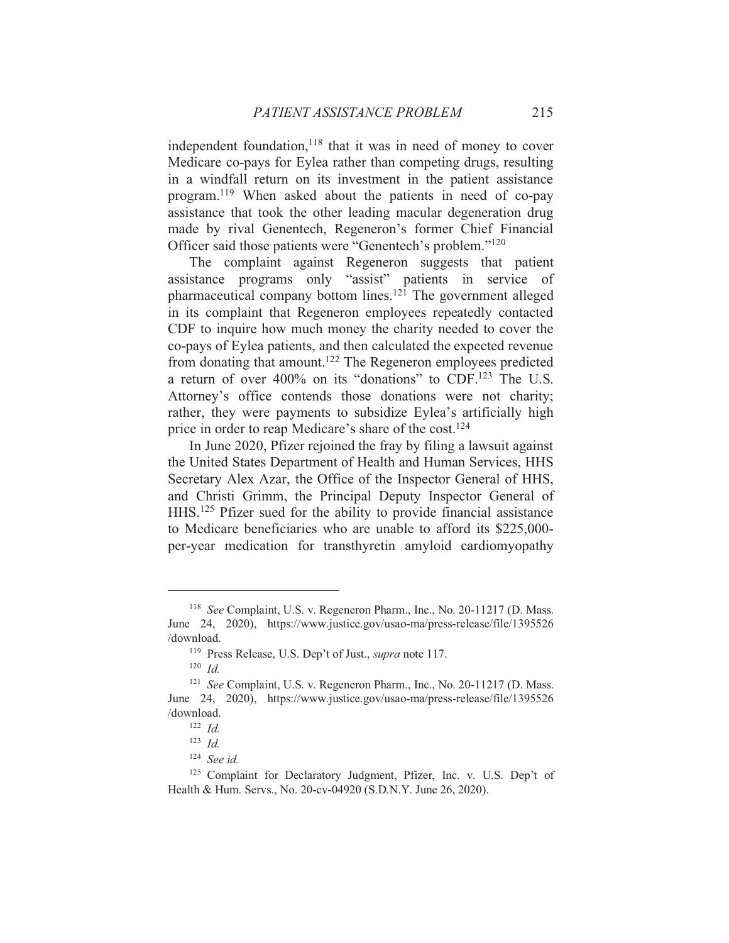independent foundation,<sup>118</sup> that it was in need of money to cover Medicare co-pays for Eylea rather than competing drugs, resulting in a windfall return on its investment in the patient assistance program.<sup>119</sup> When asked about the patients in need of co-pay assistance that took the other leading macular degeneration drug made by rival Genentech, Regeneron's former Chief Financial Officer said those patients were "Genentech's problem."<sup>120</sup>

The complaint against Regeneron suggests that patient assistance programs only "assist" patients in service of pharmaceutical company bottom lines.<sup>121</sup> The government alleged in its complaint that Regeneron employees repeatedly contacted CDF to inquire how much money the charity needed to cover the co-pays of Eylea patients, and then calculated the expected revenue from donating that amount.<sup>122</sup> The Regeneron employees predicted a return of over 400% on its "donations" to CDF.<sup>123</sup> The U.S. Attorney's office contends those donations were not charity; rather, they were payments to subsidize Eylea's artificially high price in order to reap Medicare's share of the cost.<sup>124</sup>

In June 2020, Pfizer rejoined the fray by filing a lawsuit against the United States Department of Health and Human Services, HHS Secretary Alex Azar, the Office of the Inspector General of HHS, and Christi Grimm, the Principal Deputy Inspector General of HHS.<sup>125</sup> Pfizer sued for the ability to provide financial assistance to Medicare beneficiaries who are unable to afford its \$225,000per-year medication for transthyretin amyloid cardiomyopathy

<sup>&</sup>lt;sup>118</sup> See Complaint, U.S. v. Regeneron Pharm., Inc., No. 20-11217 (D. Mass. June 24, 2020), https://www.justice.gov/usao-ma/press-release/file/1395526 /download.

<sup>&</sup>lt;sup>119</sup> Press Release, U.S. Dep't of Just., *supra* note 117.

 $120$  *Id.* 

<sup>&</sup>lt;sup>121</sup> See Complaint, U.S. v. Regeneron Pharm., Inc., No. 20-11217 (D. Mass. June 24, 2020), https://www.justice.gov/usao-ma/press-release/file/1395526 /download.

 $122$  *Id.* 

 $123$  *Id.* 

 $124$  See id.

<sup>&</sup>lt;sup>125</sup> Complaint for Declaratory Judgment, Pfizer, Inc. v. U.S. Dep't of Health & Hum. Servs., No. 20-cv-04920 (S.D.N.Y. June 26, 2020).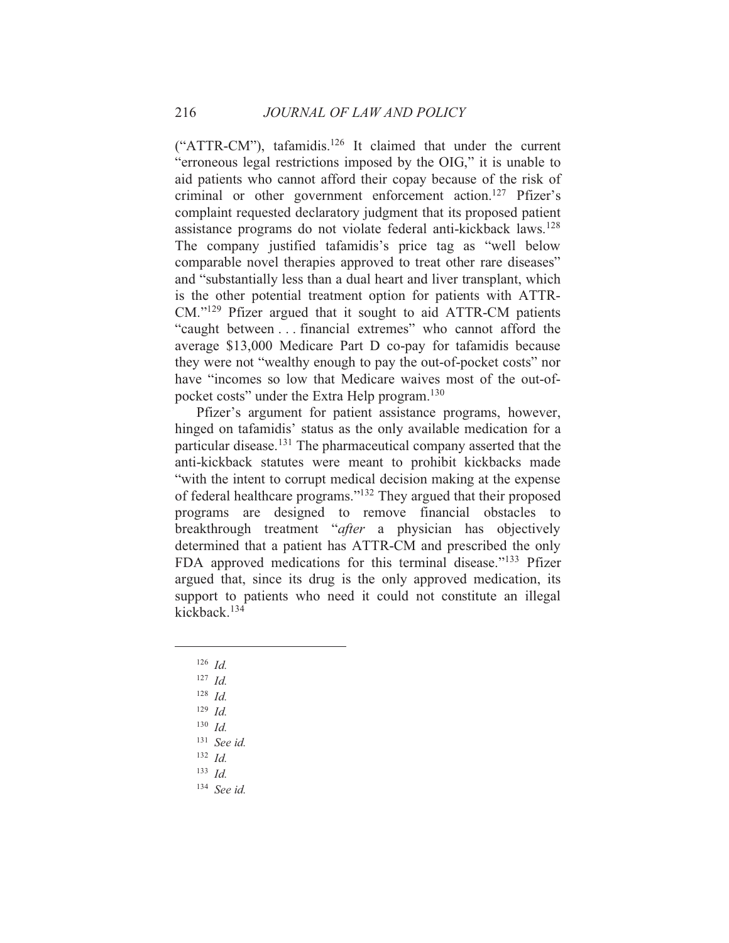("ATTR-CM"), tafamidis.<sup>126</sup> It claimed that under the current "erroneous legal restrictions imposed by the OIG," it is unable to aid patients who cannot afford their copay because of the risk of criminal or other government enforcement action.<sup>127</sup> Pfizer's complaint requested declaratory judgment that its proposed patient assistance programs do not violate federal anti-kickback laws.<sup>128</sup> The company justified tafamidis's price tag as "well below comparable novel therapies approved to treat other rare diseases" and "substantially less than a dual heart and liver transplant, which is the other potential treatment option for patients with ATTR- $CM.^{"129}$  Pfizer argued that it sought to aid ATTR-CM patients "caught between . . . financial extremes" who cannot afford the average \$13,000 Medicare Part D co-pay for tafamidis because they were not "wealthy enough to pay the out-of-pocket costs" nor have "incomes so low that Medicare waives most of the out-ofpocket costs" under the Extra Help program.<sup>130</sup>

Pfizer's argument for patient assistance programs, however, hinged on tafamidis' status as the only available medication for a particular disease.<sup>131</sup> The pharmaceutical company asserted that the anti-kickback statutes were meant to prohibit kickbacks made "with the intent to corrupt medical decision making at the expense of federal healthcare programs."<sup>132</sup> They argued that their proposed programs are designed to remove financial obstacles to breakthrough treatment "after a physician has objectively determined that a patient has ATTR-CM and prescribed the only FDA approved medications for this terminal disease."<sup>133</sup> Pfizer argued that, since its drug is the only approved medication, its support to patients who need it could not constitute an illegal kickback.<sup>134</sup>

- $126$  *Id.*
- $127$  *Id.*
- $128$  *Id.*
- $129$  *Id.*
- $130$  *Id.*
- $131$  See id.
- $132$  *Id.*
- $133$  *Id.*
- <sup>134</sup> See id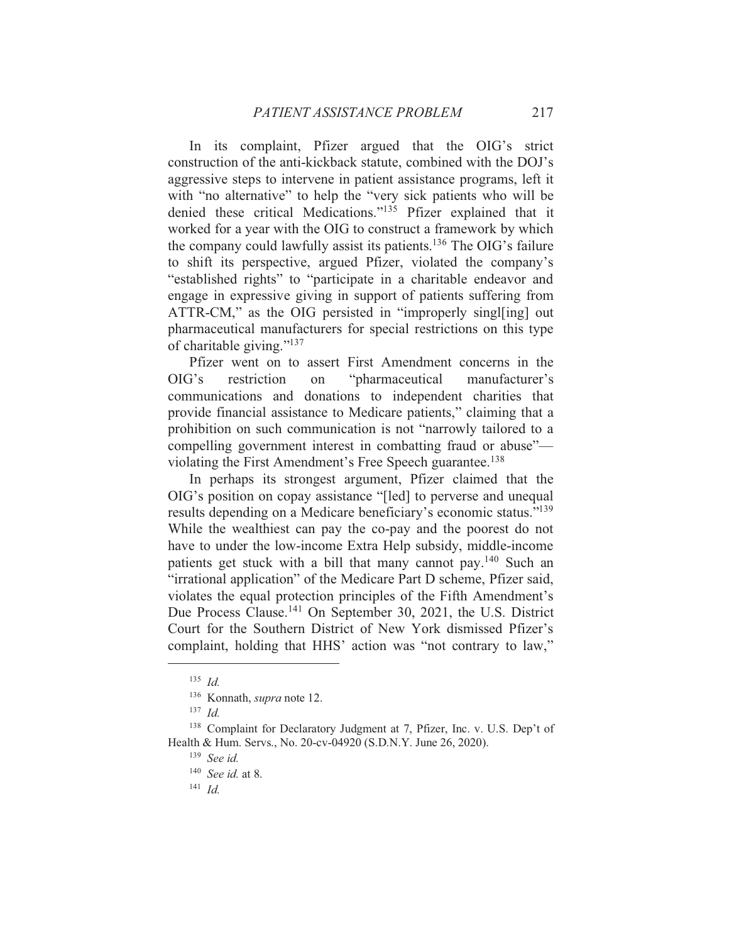In its complaint, Pfizer argued that the OIG's strict construction of the anti-kickback statute, combined with the DOJ's aggressive steps to intervene in patient assistance programs, left it with "no alternative" to help the "very sick patients who will be denied these critical Medications."<sup>135</sup> Pfizer explained that it worked for a year with the OIG to construct a framework by which the company could lawfully assist its patients.<sup>136</sup> The OIG's failure to shift its perspective, argued Pfizer, violated the company's "established rights" to "participate in a charitable endeavor and engage in expressive giving in support of patients suffering from ATTR-CM," as the OIG persisted in "improperly singlesing] out pharmaceutical manufacturers for special restrictions on this type of charitable giving."<sup>137</sup>

Pfizer went on to assert First Amendment concerns in the "pharmaceutical  $OIG's$ restriction on manufacturer's communications and donations to independent charities that provide financial assistance to Medicare patients," claiming that a prohibition on such communication is not "narrowly tailored to a compelling government interest in combatting fraud or abuse"violating the First Amendment's Free Speech guarantee.<sup>138</sup>

In perhaps its strongest argument, Pfizer claimed that the OIG's position on copay assistance "[led] to perverse and unequal results depending on a Medicare beneficiary's economic status."<sup>139</sup> While the wealthiest can pay the co-pay and the poorest do not have to under the low-income Extra Help subsidy, middle-income patients get stuck with a bill that many cannot pay.<sup>140</sup> Such an "irrational application" of the Medicare Part D scheme, Pfizer said, violates the equal protection principles of the Fifth Amendment's Due Process Clause.<sup>141</sup> On September 30, 2021, the U.S. District Court for the Southern District of New York dismissed Pfizer's complaint, holding that HHS' action was "not contrary to law,"

 $141$  *Id.* 

 $135$  *Id.* 

<sup>&</sup>lt;sup>136</sup> Konnath, *supra* note 12.

 $137$  *Id.* 

<sup>&</sup>lt;sup>138</sup> Complaint for Declaratory Judgment at 7, Pfizer, Inc. v. U.S. Dep't of Health & Hum. Servs., No. 20-cv-04920 (S.D.N.Y. June 26, 2020).

 $139$  See id.

 $140$  *See id.* at 8.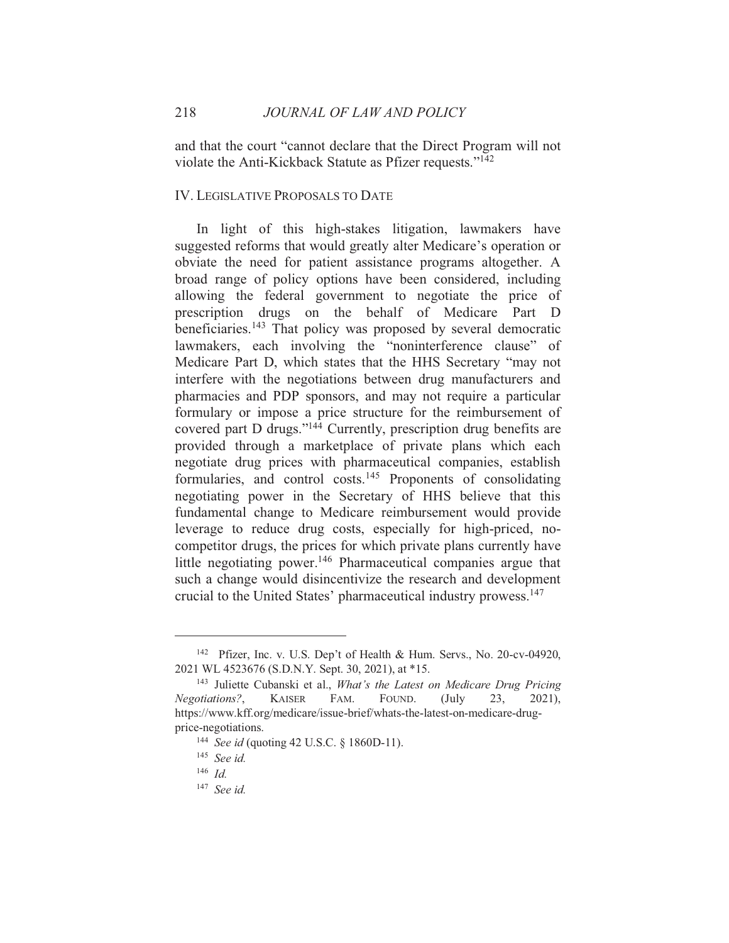and that the court "cannot declare that the Direct Program will not violate the Anti-Kickback Statute as Pfizer requests."<sup>142</sup>

## **IV. LEGISLATIVE PROPOSALS TO DATE**

In light of this high-stakes litigation, lawmakers have suggested reforms that would greatly alter Medicare's operation or obviate the need for patient assistance programs altogether. A broad range of policy options have been considered, including allowing the federal government to negotiate the price of prescription drugs on the behalf of Medicare Part D beneficiaries.<sup>143</sup> That policy was proposed by several democratic lawmakers, each involving the "noninterference clause" of Medicare Part D, which states that the HHS Secretary "may not interfere with the negotiations between drug manufacturers and pharmacies and PDP sponsors, and may not require a particular formulary or impose a price structure for the reimbursement of covered part D drugs."<sup>144</sup> Currently, prescription drug benefits are provided through a marketplace of private plans which each negotiate drug prices with pharmaceutical companies, establish formularies, and control costs.<sup>145</sup> Proponents of consolidating negotiating power in the Secretary of HHS believe that this fundamental change to Medicare reimbursement would provide leverage to reduce drug costs, especially for high-priced, nocompetitor drugs, the prices for which private plans currently have little negotiating power.<sup>146</sup> Pharmaceutical companies argue that such a change would disincentivize the research and development crucial to the United States' pharmaceutical industry prowess.<sup>147</sup>

<sup>&</sup>lt;sup>142</sup> Pfizer, Inc. v. U.S. Dep't of Health & Hum. Servs., No. 20-cv-04920, 2021 WL 4523676 (S.D.N.Y. Sept. 30, 2021), at \*15.

<sup>&</sup>lt;sup>143</sup> Juliette Cubanski et al., What's the Latest on Medicare Drug Pricing Negotiations?, **KAISER** FAM. FOUND.  $($ July 23.  $2021$ ). https://www.kff.org/medicare/issue-brief/whats-the-latest-on-medicare-drugprice-negotiations.

<sup>&</sup>lt;sup>144</sup> See id (quoting 42 U.S.C. § 1860D-11).

 $145$  See id.

 $146$  *Id.* 

<sup>&</sup>lt;sup>147</sup> See id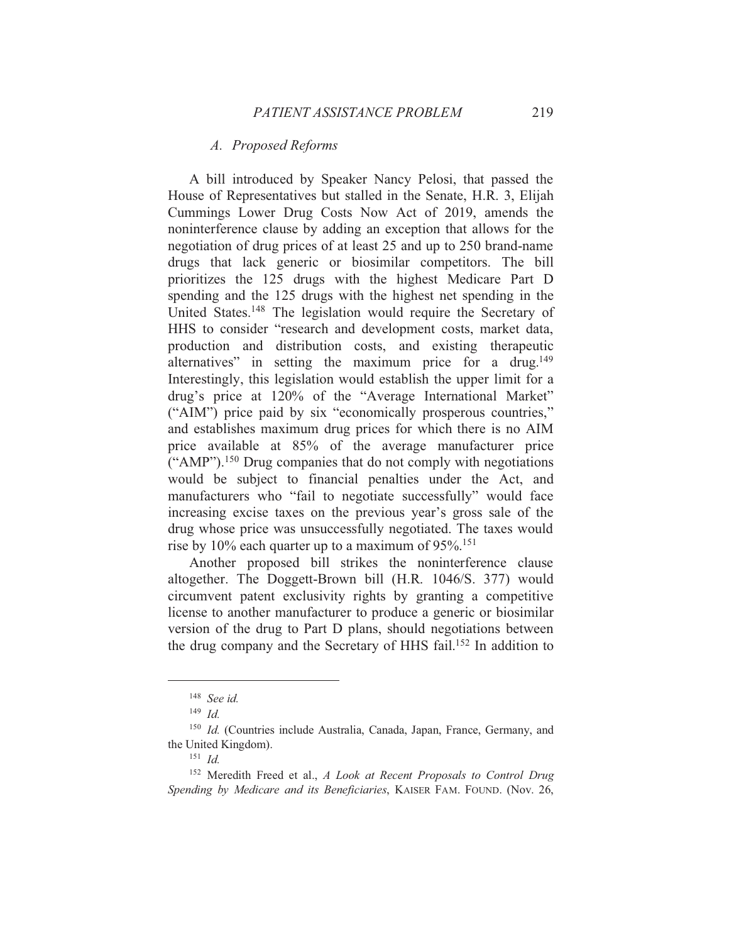## A. Proposed Reforms

A bill introduced by Speaker Nancy Pelosi, that passed the House of Representatives but stalled in the Senate, H.R. 3, Elijah Cummings Lower Drug Costs Now Act of 2019, amends the noninterference clause by adding an exception that allows for the negotiation of drug prices of at least 25 and up to 250 brand-name drugs that lack generic or biosimilar competitors. The bill prioritizes the 125 drugs with the highest Medicare Part D spending and the 125 drugs with the highest net spending in the United States.<sup>148</sup> The legislation would require the Secretary of HHS to consider "research and development costs, market data, production and distribution costs, and existing therapeutic alternatives" in setting the maximum price for a drug.<sup>149</sup> Interestingly, this legislation would establish the upper limit for a drug's price at 120% of the "Average International Market" ("AIM") price paid by six "economically prosperous countries," and establishes maximum drug prices for which there is no AIM price available at 85% of the average manufacturer price  $($ "AMP" $)$ .<sup>150</sup> Drug companies that do not comply with negotiations would be subject to financial penalties under the Act, and manufacturers who "fail to negotiate successfully" would face increasing excise taxes on the previous year's gross sale of the drug whose price was unsuccessfully negotiated. The taxes would rise by  $10\%$  each quarter up to a maximum of  $95\%$ <sup>151</sup>

Another proposed bill strikes the noninterference clause altogether. The Doggett-Brown bill (H.R. 1046/S. 377) would circumvent patent exclusivity rights by granting a competitive license to another manufacturer to produce a generic or biosimilar version of the drug to Part D plans, should negotiations between the drug company and the Secretary of HHS fail.<sup>152</sup> In addition to

 $148$  See id.

 $149$  *Id.* 

<sup>&</sup>lt;sup>150</sup> Id. (Countries include Australia, Canada, Japan, France, Germany, and the United Kingdom).

 $151$  *Id.* 

<sup>&</sup>lt;sup>152</sup> Meredith Freed et al., A Look at Recent Proposals to Control Drug Spending by Medicare and its Beneficiaries, KAISER FAM. FOUND. (Nov. 26,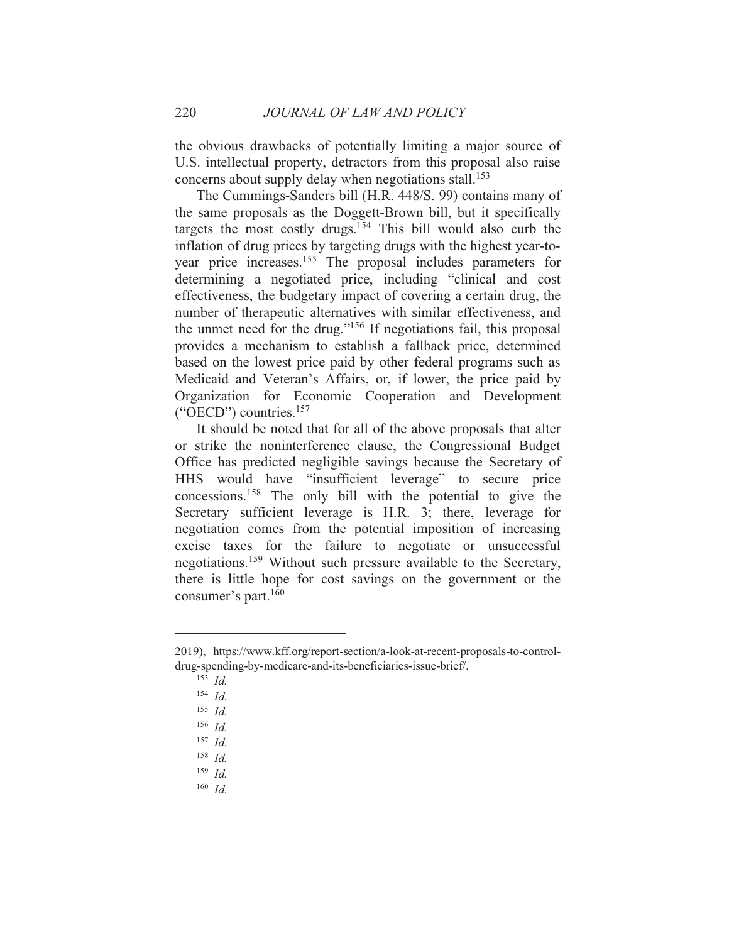the obvious drawbacks of potentially limiting a major source of U.S. intellectual property, detractors from this proposal also raise concerns about supply delay when negotiations stall.<sup>153</sup>

The Cummings-Sanders bill (H.R. 448/S. 99) contains many of the same proposals as the Doggett-Brown bill, but it specifically targets the most costly drugs.<sup>154</sup> This bill would also curb the inflation of drug prices by targeting drugs with the highest year-toyear price increases.<sup>155</sup> The proposal includes parameters for determining a negotiated price, including "clinical and cost effectiveness, the budgetary impact of covering a certain drug, the number of therapeutic alternatives with similar effectiveness, and the unmet need for the drug."<sup>156</sup> If negotiations fail, this proposal provides a mechanism to establish a fallback price, determined based on the lowest price paid by other federal programs such as Medicaid and Veteran's Affairs, or, if lower, the price paid by Organization for Economic Cooperation and Development ("OECD") countries.<sup>157</sup>

It should be noted that for all of the above proposals that alter or strike the noninterference clause, the Congressional Budget Office has predicted negligible savings because the Secretary of HHS would have "insufficient leverage" to secure price concessions.<sup>158</sup> The only bill with the potential to give the Secretary sufficient leverage is H.R. 3; there, leverage for negotiation comes from the potential imposition of increasing excise taxes for the failure to negotiate or unsuccessful negotiations.<sup>159</sup> Without such pressure available to the Secretary, there is little hope for cost savings on the government or the consumer's part.<sup>160</sup>

 $153$  *Id.* 

 $160$  Id

<sup>2019),</sup> https://www.kff.org/report-section/a-look-at-recent-proposals-to-controldrug-spending-by-medicare-and-its-beneficiaries-issue-brief/.

 $154$  Id

 $155$  *Id.* 

 $156$  *Id.* 

 $157$  *Id.* 

 $158$  *Id.* 

 $159$  *Id.*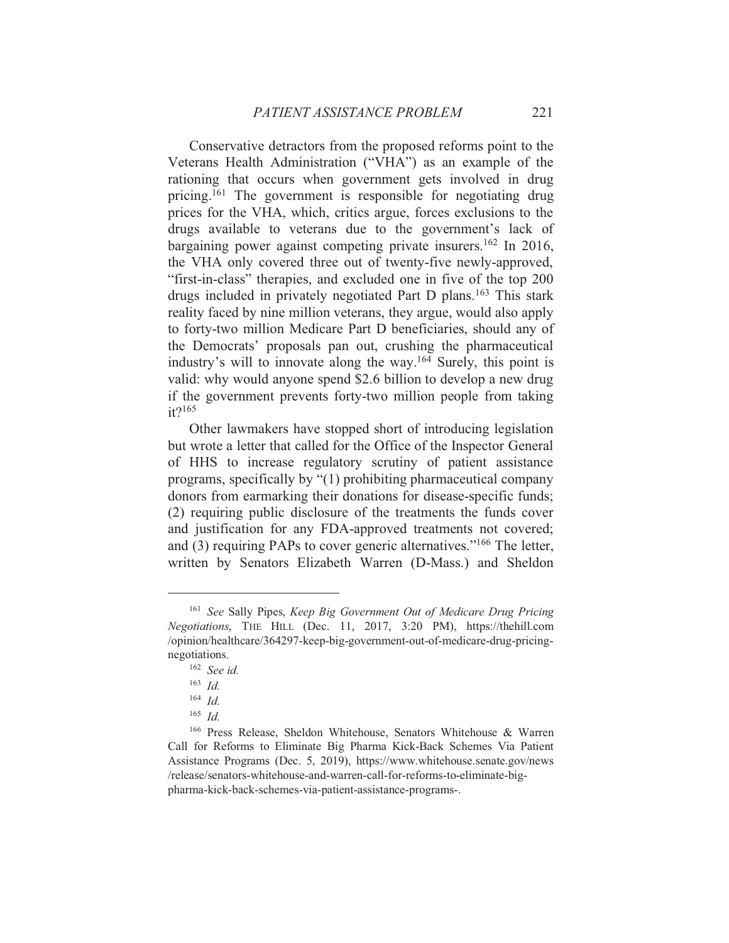Conservative detractors from the proposed reforms point to the Veterans Health Administration ("VHA") as an example of the rationing that occurs when government gets involved in drug pricing.<sup>161</sup> The government is responsible for negotiating drug prices for the VHA, which, critics argue, forces exclusions to the drugs available to veterans due to the government's lack of bargaining power against competing private insurers.<sup>162</sup> In 2016, the VHA only covered three out of twenty-five newly-approved, "first-in-class" therapies, and excluded one in five of the top 200 drugs included in privately negotiated Part D plans.<sup>163</sup> This stark reality faced by nine million veterans, they argue, would also apply to forty-two million Medicare Part D beneficiaries, should any of the Democrats' proposals pan out, crushing the pharmaceutical industry's will to innovate along the way.<sup>164</sup> Surely, this point is valid: why would anyone spend \$2.6 billion to develop a new drug if the government prevents forty-two million people from taking  $it?$ <sup>165</sup>

Other lawmakers have stopped short of introducing legislation but wrote a letter that called for the Office of the Inspector General of HHS to increase regulatory scrutiny of patient assistance programs, specifically by "(1) prohibiting pharmaceutical company donors from earmarking their donations for disease-specific funds; (2) requiring public disclosure of the treatments the funds cover and justification for any FDA-approved treatments not covered; and (3) requiring PAPs to cover generic alternatives."<sup>166</sup> The letter, written by Senators Elizabeth Warren (D-Mass.) and Sheldon

<sup>&</sup>lt;sup>161</sup> See Sally Pipes, Keep Big Government Out of Medicare Drug Pricing Negotiations, THE HILL (Dec. 11, 2017, 3:20 PM), https://thehill.com /opinion/healthcare/364297-keep-big-government-out-of-medicare-drug-pricingnegotiations.

 $162$  See id.

 $163$  *Id.* 

 $164$  *Id.* 

 $165$  *Id.* 

<sup>&</sup>lt;sup>166</sup> Press Release, Sheldon Whitehouse, Senators Whitehouse & Warren Call for Reforms to Eliminate Big Pharma Kick-Back Schemes Via Patient Assistance Programs (Dec. 5, 2019), https://www.whitehouse.senate.gov/news /release/senators-whitehouse-and-warren-call-for-reforms-to-eliminate-bigpharma-kick-back-schemes-via-patient-assistance-programs-.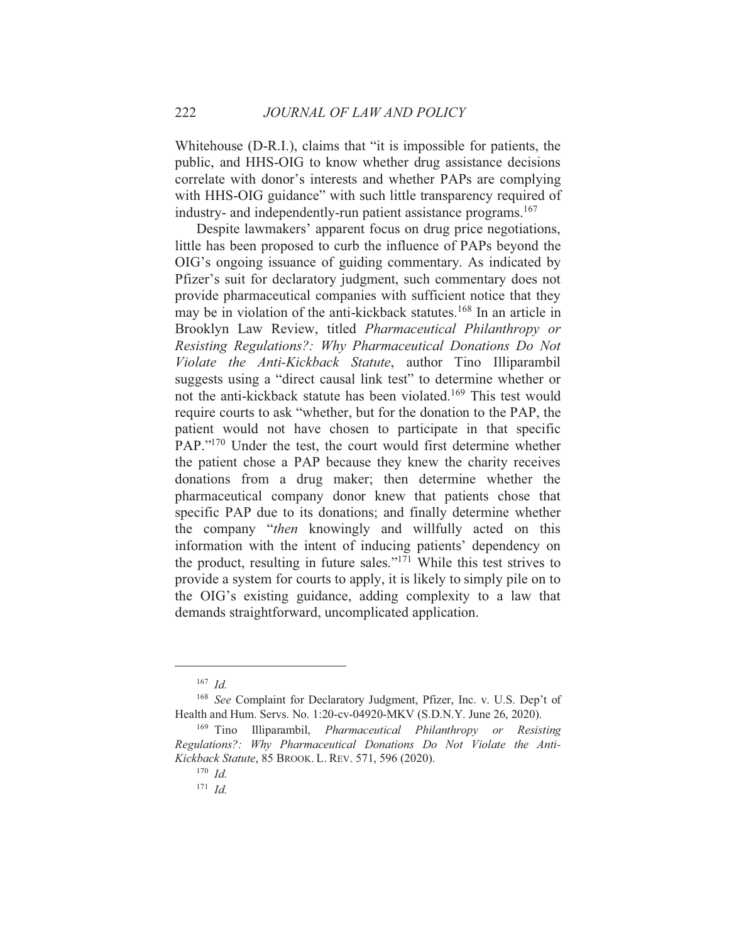Whitehouse (D-R.I.), claims that "it is impossible for patients, the public, and HHS-OIG to know whether drug assistance decisions correlate with donor's interests and whether PAPs are complying with HHS-OIG guidance" with such little transparency required of industry- and independently-run patient assistance programs.<sup>167</sup>

Despite lawmakers' apparent focus on drug price negotiations, little has been proposed to curb the influence of PAPs beyond the OIG's ongoing issuance of guiding commentary. As indicated by Pfizer's suit for declaratory judgment, such commentary does not provide pharmaceutical companies with sufficient notice that they may be in violation of the anti-kickback statutes.<sup>168</sup> In an article in Brooklyn Law Review, titled Pharmaceutical Philanthropy or Resisting Regulations?: Why Pharmaceutical Donations Do Not Violate the Anti-Kickback Statute, author Tino Illiparambil suggests using a "direct causal link test" to determine whether or not the anti-kickback statute has been violated.<sup>169</sup> This test would require courts to ask "whether, but for the donation to the PAP, the patient would not have chosen to participate in that specific PAP."<sup>170</sup> Under the test, the court would first determine whether the patient chose a PAP because they knew the charity receives donations from a drug maker; then determine whether the pharmaceutical company donor knew that patients chose that specific PAP due to its donations; and finally determine whether the company "then knowingly and willfully acted on this information with the intent of inducing patients' dependency on the product, resulting in future sales."<sup>171</sup> While this test strives to provide a system for courts to apply, it is likely to simply pile on to the OIG's existing guidance, adding complexity to a law that demands straightforward, uncomplicated application.

 $167$  *Id.* 

<sup>&</sup>lt;sup>168</sup> See Complaint for Declaratory Judgment, Pfizer, Inc. v. U.S. Dep't of Health and Hum. Servs. No. 1:20-cv-04920-MKV (S.D.N.Y. June 26, 2020).

<sup>&</sup>lt;sup>169</sup> Tino Illiparambil, *Pharmaceutical Philanthropy or Resisting* Regulations?: Why Pharmaceutical Donations Do Not Violate the Anti-Kickback Statute, 85 BROOK. L. REV. 571, 596 (2020).

 $170$  *Id.* 

 $171$  *Id.*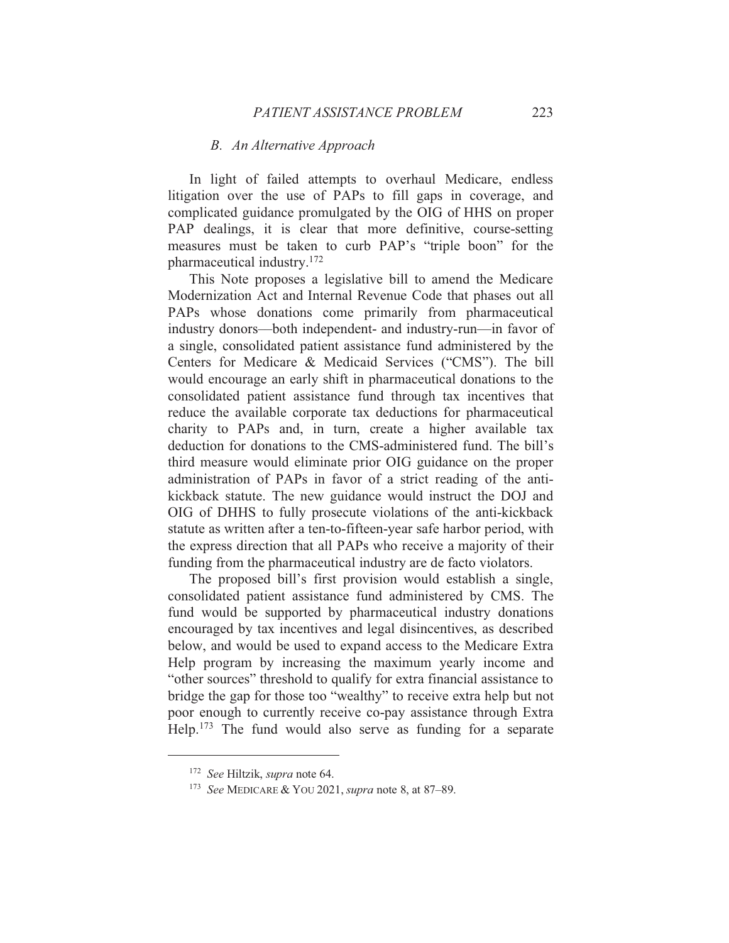### B. An Alternative Approach

In light of failed attempts to overhaul Medicare, endless litigation over the use of PAPs to fill gaps in coverage, and complicated guidance promulgated by the OIG of HHS on proper PAP dealings, it is clear that more definitive, course-setting measures must be taken to curb PAP's "triple boon" for the pharmaceutical industry.<sup>172</sup>

This Note proposes a legislative bill to amend the Medicare Modernization Act and Internal Revenue Code that phases out all PAPs whose donations come primarily from pharmaceutical industry donors—both independent- and industry-run—in favor of a single, consolidated patient assistance fund administered by the Centers for Medicare & Medicaid Services ("CMS"). The bill would encourage an early shift in pharmaceutical donations to the consolidated patient assistance fund through tax incentives that reduce the available corporate tax deductions for pharmaceutical charity to PAPs and, in turn, create a higher available tax deduction for donations to the CMS-administered fund. The bill's third measure would eliminate prior OIG guidance on the proper administration of PAPs in favor of a strict reading of the antikickback statute. The new guidance would instruct the DOJ and OIG of DHHS to fully prosecute violations of the anti-kickback statute as written after a ten-to-fifteen-year safe harbor period, with the express direction that all PAPs who receive a majority of their funding from the pharmaceutical industry are de facto violators.

The proposed bill's first provision would establish a single, consolidated patient assistance fund administered by CMS. The fund would be supported by pharmaceutical industry donations encouraged by tax incentives and legal disincentives, as described below, and would be used to expand access to the Medicare Extra Help program by increasing the maximum yearly income and "other sources" threshold to qualify for extra financial assistance to bridge the gap for those too "wealthy" to receive extra help but not poor enough to currently receive co-pay assistance through Extra Help.<sup>173</sup> The fund would also serve as funding for a separate

<sup>&</sup>lt;sup>172</sup> See Hiltzik, supra note 64.

<sup>&</sup>lt;sup>173</sup> See MEDICARE & YOU 2021, *supra* note 8, at 87–89.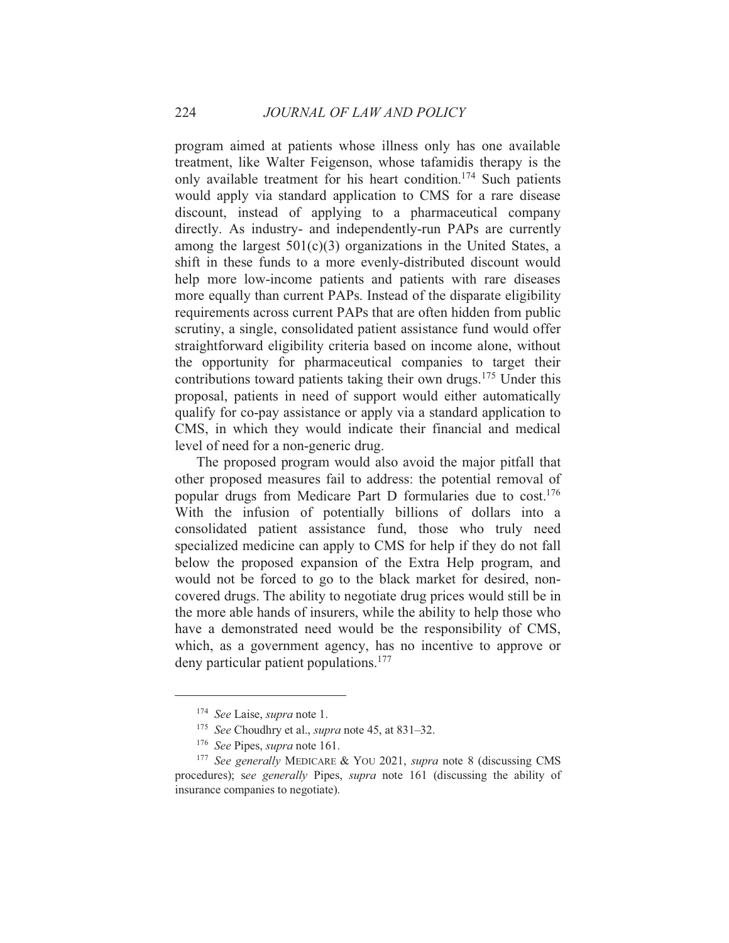program aimed at patients whose illness only has one available treatment, like Walter Feigenson, whose tafamidis therapy is the only available treatment for his heart condition.<sup>174</sup> Such patients would apply via standard application to CMS for a rare disease discount, instead of applying to a pharmaceutical company directly. As industry- and independently-run PAPs are currently among the largest  $501(c)(3)$  organizations in the United States, a shift in these funds to a more evenly-distributed discount would help more low-income patients and patients with rare diseases more equally than current PAPs. Instead of the disparate eligibility requirements across current PAPs that are often hidden from public scrutiny, a single, consolidated patient assistance fund would offer straightforward eligibility criteria based on income alone, without the opportunity for pharmaceutical companies to target their contributions toward patients taking their own drugs.<sup>175</sup> Under this proposal, patients in need of support would either automatically qualify for co-pay assistance or apply via a standard application to CMS, in which they would indicate their financial and medical level of need for a non-generic drug.

The proposed program would also avoid the major pitfall that other proposed measures fail to address: the potential removal of popular drugs from Medicare Part D formularies due to cost.<sup>176</sup> With the infusion of potentially billions of dollars into a consolidated patient assistance fund, those who truly need specialized medicine can apply to CMS for help if they do not fall below the proposed expansion of the Extra Help program, and would not be forced to go to the black market for desired, noncovered drugs. The ability to negotiate drug prices would still be in the more able hands of insurers, while the ability to help those who have a demonstrated need would be the responsibility of CMS, which, as a government agency, has no incentive to approve or deny particular patient populations. $177$ 

<sup>&</sup>lt;sup>174</sup> See Laise, *supra* note 1.

<sup>&</sup>lt;sup>175</sup> See Choudhry et al., *supra* note 45, at 831–32.

<sup>&</sup>lt;sup>176</sup> See Pipes, *supra* note 161.

<sup>&</sup>lt;sup>177</sup> See generally MEDICARE & YOU 2021, *supra* note 8 (discussing CMS) procedures); see generally Pipes, *supra* note 161 (discussing the ability of insurance companies to negotiate).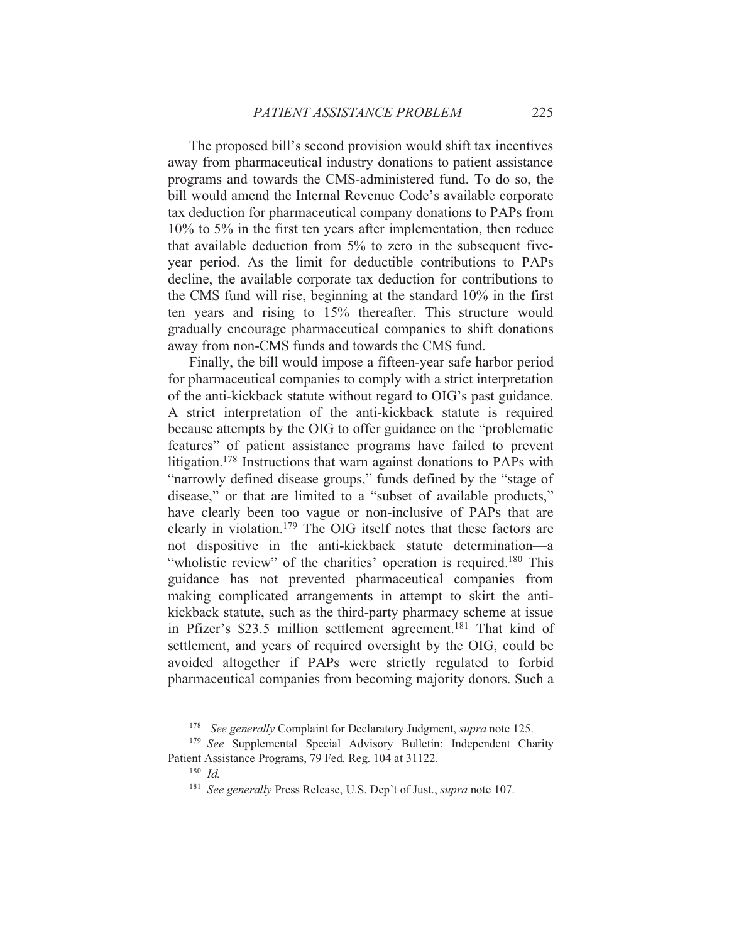The proposed bill's second provision would shift tax incentives away from pharmaceutical industry donations to patient assistance programs and towards the CMS-administered fund. To do so, the bill would amend the Internal Revenue Code's available corporate tax deduction for pharmaceutical company donations to PAPs from  $10\%$  to 5% in the first ten years after implementation, then reduce that available deduction from 5% to zero in the subsequent fiveyear period. As the limit for deductible contributions to PAPs decline, the available corporate tax deduction for contributions to the CMS fund will rise, beginning at the standard 10% in the first ten years and rising to 15% thereafter. This structure would gradually encourage pharmaceutical companies to shift donations away from non-CMS funds and towards the CMS fund.

Finally, the bill would impose a fifteen-year safe harbor period for pharmaceutical companies to comply with a strict interpretation of the anti-kickback statute without regard to OIG's past guidance. A strict interpretation of the anti-kickback statute is required because attempts by the OIG to offer guidance on the "problematic" features" of patient assistance programs have failed to prevent litigation.<sup>178</sup> Instructions that warn against donations to PAPs with "narrowly defined disease groups," funds defined by the "stage of disease," or that are limited to a "subset of available products," have clearly been too vague or non-inclusive of PAPs that are clearly in violation.<sup>179</sup> The OIG itself notes that these factors are not dispositive in the anti-kickback statute determination—a "wholistic review" of the charities' operation is required.<sup>180</sup> This guidance has not prevented pharmaceutical companies from making complicated arrangements in attempt to skirt the antikickback statute, such as the third-party pharmacy scheme at issue in Pfizer's \$23.5 million settlement agreement.<sup>181</sup> That kind of settlement, and years of required oversight by the OIG, could be avoided altogether if PAPs were strictly regulated to forbid pharmaceutical companies from becoming majority donors. Such a

<sup>&</sup>lt;sup>178</sup> See generally Complaint for Declaratory Judgment, *supra* note 125.

<sup>&</sup>lt;sup>179</sup> See Supplemental Special Advisory Bulletin: Independent Charity Patient Assistance Programs, 79 Fed. Reg. 104 at 31122.

 $180$  *Id.* 

<sup>&</sup>lt;sup>181</sup> See generally Press Release, U.S. Dep't of Just., *supra* note 107.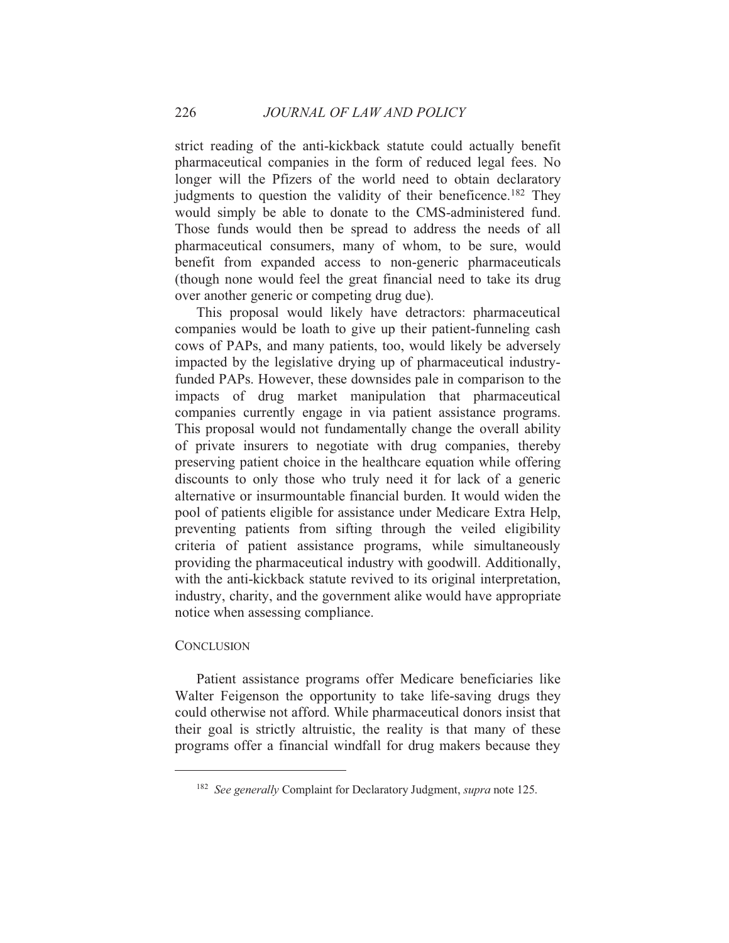strict reading of the anti-kickback statute could actually benefit pharmaceutical companies in the form of reduced legal fees. No longer will the Pfizers of the world need to obtain declaratory judgments to question the validity of their beneficence.<sup>182</sup> They would simply be able to donate to the CMS-administered fund. Those funds would then be spread to address the needs of all pharmaceutical consumers, many of whom, to be sure, would benefit from expanded access to non-generic pharmaceuticals (though none would feel the great financial need to take its drug over another generic or competing drug due).

This proposal would likely have detractors: pharmaceutical companies would be loath to give up their patient-funneling cash cows of PAPs, and many patients, too, would likely be adversely impacted by the legislative drying up of pharmaceutical industryfunded PAPs. However, these downsides pale in comparison to the impacts of drug market manipulation that pharmaceutical companies currently engage in via patient assistance programs. This proposal would not fundamentally change the overall ability of private insurers to negotiate with drug companies, thereby preserving patient choice in the healthcare equation while offering discounts to only those who truly need it for lack of a generic alternative or insurmountable financial burden. It would widen the pool of patients eligible for assistance under Medicare Extra Help, preventing patients from sifting through the veiled eligibility criteria of patient assistance programs, while simultaneously providing the pharmaceutical industry with goodwill. Additionally, with the anti-kickback statute revived to its original interpretation, industry, charity, and the government alike would have appropriate notice when assessing compliance.

### **CONCLUSION**

Patient assistance programs offer Medicare beneficiaries like Walter Feigenson the opportunity to take life-saving drugs they could otherwise not afford. While pharmaceutical donors insist that their goal is strictly altruistic, the reality is that many of these programs offer a financial windfall for drug makers because they

<sup>&</sup>lt;sup>182</sup> See generally Complaint for Declaratory Judgment, *supra* note 125.